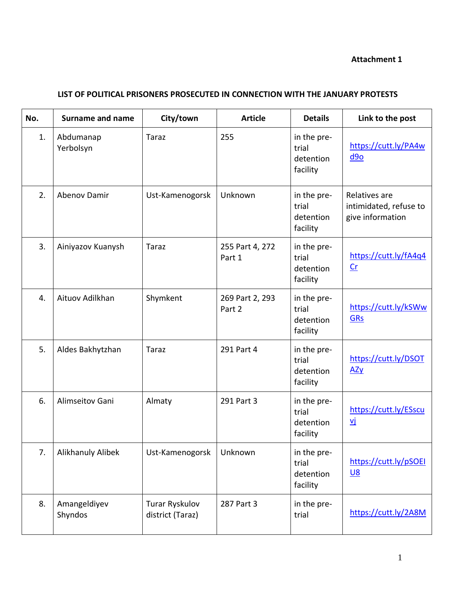# **Attachment 1**

## **LIST OF POLITICAL PRISONERS PROSECUTED IN CONNECTION WITH THE JANUARY PROTESTS**

| No. | <b>Surname and name</b>  | City/town                          | <b>Article</b>            | <b>Details</b>                                | Link to the post                                            |
|-----|--------------------------|------------------------------------|---------------------------|-----------------------------------------------|-------------------------------------------------------------|
| 1.  | Abdumanap<br>Yerbolsyn   | <b>Taraz</b>                       | 255                       | in the pre-<br>trial<br>detention<br>facility | https://cutt.ly/PA4w<br>d9o                                 |
| 2.  | <b>Abenov Damir</b>      | Ust-Kamenogorsk                    | Unknown                   | in the pre-<br>trial<br>detention<br>facility | Relatives are<br>intimidated, refuse to<br>give information |
| 3.  | Ainiyazov Kuanysh        | Taraz                              | 255 Part 4, 272<br>Part 1 | in the pre-<br>trial<br>detention<br>facility | https://cutt.ly/fA4q4<br>$c$                                |
| 4.  | Aituov Adilkhan          | Shymkent                           | 269 Part 2, 293<br>Part 2 | in the pre-<br>trial<br>detention<br>facility | https://cutt.ly/kSWw<br><b>GRs</b>                          |
| 5.  | Aldes Bakhytzhan         | <b>Taraz</b>                       | 291 Part 4                | in the pre-<br>trial<br>detention<br>facility | https://cutt.ly/DSOT<br>Azy                                 |
| 6.  | Alimseitov Gani          | Almaty                             | 291 Part 3                | in the pre-<br>trial<br>detention<br>facility | https://cutt.ly/ESscu<br><u>vj</u>                          |
| 7.  | <b>Alikhanuly Alibek</b> | Ust-Kamenogorsk                    | Unknown                   | in the pre-<br>trial<br>detention<br>facility | https://cutt.ly/pSOEI<br><u>U8</u>                          |
| 8.  | Amangeldiyev<br>Shyndos  | Turar Ryskulov<br>district (Taraz) | 287 Part 3                | in the pre-<br>trial                          | https://cutt.ly/2A8M                                        |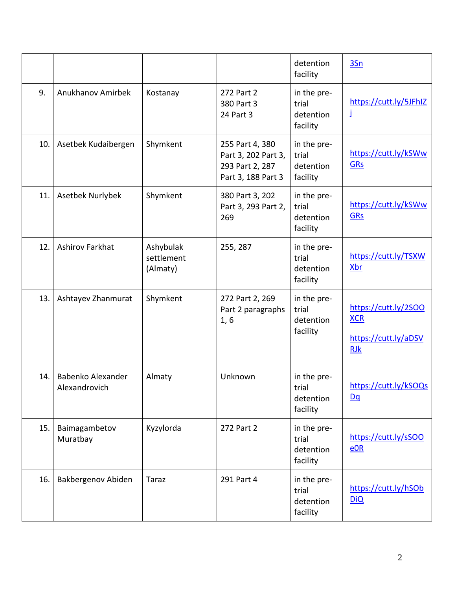|     |                                    |                                     |                                                                                 | detention<br>facility                         | 3Sn                                                                      |
|-----|------------------------------------|-------------------------------------|---------------------------------------------------------------------------------|-----------------------------------------------|--------------------------------------------------------------------------|
| 9.  | Anukhanov Amirbek                  | Kostanay                            | 272 Part 2<br>380 Part 3<br>24 Part 3                                           | in the pre-<br>trial<br>detention<br>facility | https://cutt.ly/5JFhIZ<br>İ                                              |
| 10. | Asetbek Kudaibergen                | Shymkent                            | 255 Part 4, 380<br>Part 3, 202 Part 3,<br>293 Part 2, 287<br>Part 3, 188 Part 3 | in the pre-<br>trial<br>detention<br>facility | https://cutt.ly/kSWw<br><b>GRs</b>                                       |
| 11. | Asetbek Nurlybek                   | Shymkent                            | 380 Part 3, 202<br>Part 3, 293 Part 2,<br>269                                   | in the pre-<br>trial<br>detention<br>facility | https://cutt.ly/kSWw<br><b>GRs</b>                                       |
| 12. | <b>Ashirov Farkhat</b>             | Ashybulak<br>settlement<br>(Almaty) | 255, 287                                                                        | in the pre-<br>trial<br>detention<br>facility | https://cutt.ly/TSXW<br><b>Xbr</b>                                       |
| 13. | Ashtayev Zhanmurat                 | Shymkent                            | 272 Part 2, 269<br>Part 2 paragraphs<br>1, 6                                    | in the pre-<br>trial<br>detention<br>facility | https://cutt.ly/2SOO<br><b>XCR</b><br>https://cutt.ly/aDSV<br><b>RJk</b> |
| 14. | Babenko Alexander<br>Alexandrovich | Almaty                              | Unknown                                                                         | in the pre-<br>trial<br>detention<br>facility | https://cutt.ly/kSOQs<br>$\underline{Dq}$                                |
| 15. | Baimagambetov<br>Muratbay          | Kyzylorda                           | 272 Part 2                                                                      | in the pre-<br>trial<br>detention<br>facility | https://cutt.ly/sSOO<br>$e$ OR                                           |
| 16. | Bakbergenov Abiden                 | <b>Taraz</b>                        | 291 Part 4                                                                      | in the pre-<br>trial<br>detention<br>facility | https://cutt.ly/hSOb<br><b>DiQ</b>                                       |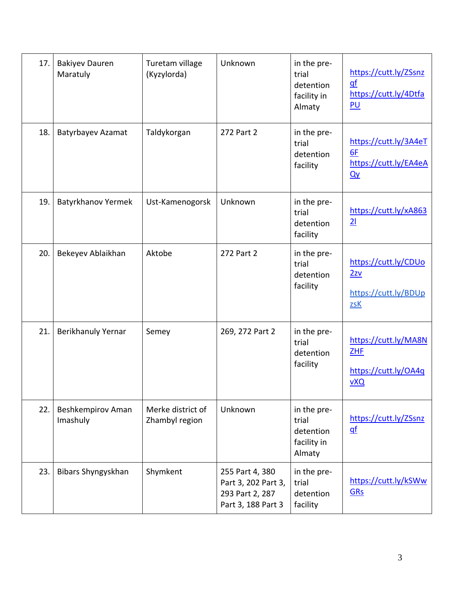| 17. | <b>Bakiyev Dauren</b><br>Maratuly | Turetam village<br>(Kyzylorda)      | Unknown                                                                         | in the pre-<br>trial<br>detention<br>facility in<br>Almaty | https://cutt.ly/ZSsnz<br>$q$ f<br>https://cutt.ly/4Dtfa<br>P <sub>U</sub> |
|-----|-----------------------------------|-------------------------------------|---------------------------------------------------------------------------------|------------------------------------------------------------|---------------------------------------------------------------------------|
| 18. | Batyrbayev Azamat                 | Taldykorgan                         | 272 Part 2                                                                      | in the pre-<br>trial<br>detention<br>facility              | https://cutt.ly/3A4eT<br>6F<br>https://cutt.ly/EA4eA<br>Qy                |
| 19. | <b>Batyrkhanov Yermek</b>         | Ust-Kamenogorsk                     | Unknown                                                                         | in the pre-<br>trial<br>detention<br>facility              | https://cutt.ly/xA863<br>21                                               |
| 20. | Bekeyev Ablaikhan                 | Aktobe                              | 272 Part 2                                                                      | in the pre-<br>trial<br>detention<br>facility              | https://cutt.ly/CDUo<br>2zv<br>https://cutt.ly/BDUp<br>ZSK                |
| 21. | Berikhanuly Yernar                | Semey                               | 269, 272 Part 2                                                                 | in the pre-<br>trial<br>detention<br>facility              | https://cutt.ly/MA8N<br><b>ZHF</b><br>https://cutt.ly/OA4q<br>VXQ         |
| 22. | Beshkempirov Aman<br>Imashuly     | Merke district of<br>Zhambyl region | Unknown                                                                         | in the pre-<br>trial<br>detention<br>facility in<br>Almaty | https://cutt.ly/ZSsnz<br>$q$ f                                            |
| 23. | Bibars Shyngyskhan                | Shymkent                            | 255 Part 4, 380<br>Part 3, 202 Part 3,<br>293 Part 2, 287<br>Part 3, 188 Part 3 | in the pre-<br>trial<br>detention<br>facility              | https://cutt.ly/kSWw<br><b>GRs</b>                                        |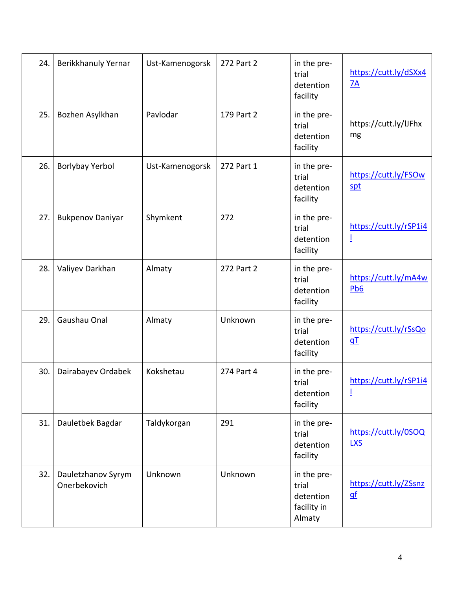| 24. | Berikkhanuly Yernar                | Ust-Kamenogorsk | 272 Part 2 | in the pre-<br>trial<br>detention<br>facility              | https://cutt.ly/dSXx4<br>7A        |
|-----|------------------------------------|-----------------|------------|------------------------------------------------------------|------------------------------------|
| 25. | Bozhen Asylkhan                    | Pavlodar        | 179 Part 2 | in the pre-<br>trial<br>detention<br>facility              | https://cutt.ly/IJFhx<br>mg        |
| 26. | Borlybay Yerbol                    | Ust-Kamenogorsk | 272 Part 1 | in the pre-<br>trial<br>detention<br>facility              | https://cutt.ly/FSOw<br>spt        |
| 27. | <b>Bukpenov Daniyar</b>            | Shymkent        | 272        | in the pre-<br>trial<br>detention<br>facility              | https://cutt.ly/rSP1i4<br>Ī        |
| 28. | Valiyev Darkhan                    | Almaty          | 272 Part 2 | in the pre-<br>trial<br>detention<br>facility              | https://cutt.ly/mA4w<br>Pb6        |
| 29. | Gaushau Onal                       | Almaty          | Unknown    | in the pre-<br>trial<br>detention<br>facility              | https://cutt.ly/rSsQo<br>qT        |
| 30. | Dairabayev Ordabek                 | Kokshetau       | 274 Part 4 | in the pre-<br>trial<br>detention<br>facility              | https://cutt.ly/rSP1i4<br>Ī        |
| 31. | Dauletbek Bagdar                   | Taldykorgan     | 291        | in the pre-<br>trial<br>detention<br>facility              | https://cutt.ly/0SOQ<br><b>LXS</b> |
| 32. | Dauletzhanov Syrym<br>Onerbekovich | Unknown         | Unknown    | in the pre-<br>trial<br>detention<br>facility in<br>Almaty | https://cutt.ly/ZSsnz<br>$q$ f     |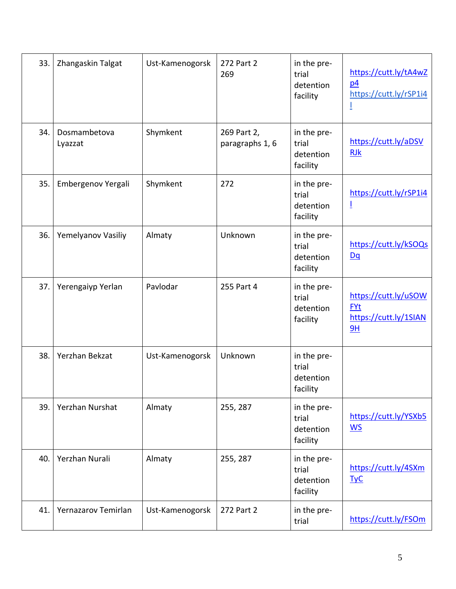| 33. | Zhangaskin Talgat       | Ust-Kamenogorsk | 272 Part 2<br>269              | in the pre-<br>trial<br>detention<br>facility | https://cutt.ly/tA4wZ<br>p4<br>https://cutt.ly/rSP1i4             |
|-----|-------------------------|-----------------|--------------------------------|-----------------------------------------------|-------------------------------------------------------------------|
| 34. | Dosmambetova<br>Lyazzat | Shymkent        | 269 Part 2,<br>paragraphs 1, 6 | in the pre-<br>trial<br>detention<br>facility | https://cutt.ly/aDSV<br><b>RJk</b>                                |
| 35. | Embergenov Yergali      | Shymkent        | 272                            | in the pre-<br>trial<br>detention<br>facility | https://cutt.ly/rSP1i4<br>Ţ                                       |
| 36. | Yemelyanov Vasiliy      | Almaty          | Unknown                        | in the pre-<br>trial<br>detention<br>facility | https://cutt.ly/kSOQs<br>Dq                                       |
| 37. | Yerengaiyp Yerlan       | Pavlodar        | 255 Part 4                     | in the pre-<br>trial<br>detention<br>facility | https://cutt.ly/uSOW<br><b>FYt</b><br>https://cutt.ly/1SIAN<br>9H |
| 38. | Yerzhan Bekzat          | Ust-Kamenogorsk | Unknown                        | in the pre-<br>trial<br>detention<br>facility |                                                                   |
| 39. | Yerzhan Nurshat         | Almaty          | 255, 287                       | in the pre-<br>trial<br>detention<br>facility | https://cutt.ly/YSXb5<br>$\underline{\mathsf{WS}}$                |
| 40. | Yerzhan Nurali          | Almaty          | 255, 287                       | in the pre-<br>trial<br>detention<br>facility | https://cutt.ly/4SXm<br>$TyC$                                     |
| 41. | Yernazarov Temirlan     | Ust-Kamenogorsk | 272 Part 2                     | in the pre-<br>trial                          | https://cutt.ly/FSOm                                              |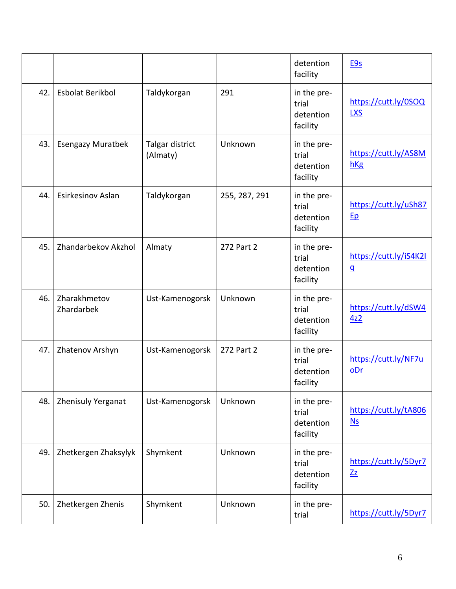|     |                            |                             |               | detention<br>facility                         | E9s                                                |
|-----|----------------------------|-----------------------------|---------------|-----------------------------------------------|----------------------------------------------------|
| 42. | <b>Esbolat Berikbol</b>    | Taldykorgan                 | 291           | in the pre-<br>trial<br>detention<br>facility | https://cutt.ly/0SOQ<br><b>LXS</b>                 |
| 43. | <b>Esengazy Muratbek</b>   | Talgar district<br>(Almaty) | Unknown       | in the pre-<br>trial<br>detention<br>facility | https://cutt.ly/AS8M<br>hKg                        |
| 44. | Esirkesinov Aslan          | Taldykorgan                 | 255, 287, 291 | in the pre-<br>trial<br>detention<br>facility | https://cutt.ly/uSh87<br>Ep                        |
| 45. | Zhandarbekov Akzhol        | Almaty                      | 272 Part 2    | in the pre-<br>trial<br>detention<br>facility | https://cutt.ly/iS4K2I<br>$\underline{\mathsf{q}}$ |
| 46. | Zharakhmetov<br>Zhardarbek | Ust-Kamenogorsk             | Unknown       | in the pre-<br>trial<br>detention<br>facility | https://cutt.ly/dSW4<br>4z2                        |
| 47. | Zhatenov Arshyn            | Ust-Kamenogorsk             | 272 Part 2    | in the pre-<br>trial<br>detention<br>facility | https://cutt.ly/NF7u<br>oDr                        |
| 48. | Zhenisuly Yerganat         | Ust-Kamenogorsk             | Unknown       | in the pre-<br>trial<br>detention<br>facility | https://cutt.ly/tA806<br>$Ns$                      |
| 49. | Zhetkergen Zhaksylyk       | Shymkent                    | Unknown       | in the pre-<br>trial<br>detention<br>facility | https://cutt.ly/5Dyr7<br>$Z_{Z}$                   |
| 50. | Zhetkergen Zhenis          | Shymkent                    | Unknown       | in the pre-<br>trial                          | https://cutt.ly/5Dyr7                              |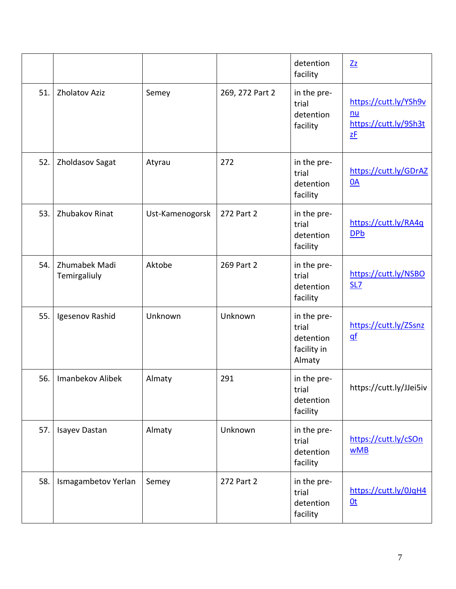|     |                               |                 |                 | detention<br>facility                                      | Zz                                                         |
|-----|-------------------------------|-----------------|-----------------|------------------------------------------------------------|------------------------------------------------------------|
| 51. | <b>Zholatov Aziz</b>          | Semey           | 269, 272 Part 2 | in the pre-<br>trial<br>detention<br>facility              | https://cutt.ly/YSh9v<br>nu<br>https://cutt.ly/9Sh3t<br>zF |
| 52. | Zholdasov Sagat               | Atyrau          | 272             | in the pre-<br>trial<br>detention<br>facility              | https://cutt.ly/GDrAZ<br>0A                                |
| 53. | <b>Zhubakov Rinat</b>         | Ust-Kamenogorsk | 272 Part 2      | in the pre-<br>trial<br>detention<br>facility              | https://cutt.ly/RA4q<br><b>DPb</b>                         |
| 54. | Zhumabek Madi<br>Temirgaliuly | Aktobe          | 269 Part 2      | in the pre-<br>trial<br>detention<br>facility              | https://cutt.ly/NSBO<br><b>SL7</b>                         |
| 55. | Igesenov Rashid               | Unknown         | Unknown         | in the pre-<br>trial<br>detention<br>facility in<br>Almaty | https://cutt.ly/ZSsnz<br>$q$ f                             |
| 56. | Imanbekov Alibek              | Almaty          | 291             | in the pre-<br>trial<br>detention<br>facility              | https://cutt.ly/JJei5iv                                    |
| 57. | Isayev Dastan                 | Almaty          | Unknown         | in the pre-<br>trial<br>detention<br>facility              | https://cutt.ly/cSOn<br><b>wMB</b>                         |
| 58. | Ismagambetov Yerlan           | Semey           | 272 Part 2      | in the pre-<br>trial<br>detention<br>facility              | https://cutt.ly/0JqH4<br>0 <sub>t</sub>                    |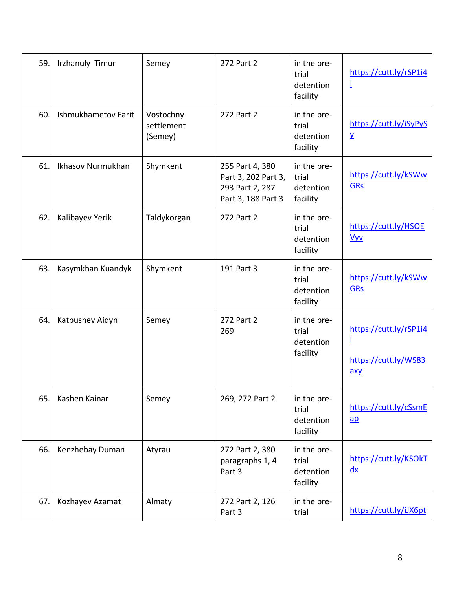| 59. | <b>Irzhanuly Timur</b> | Semey                              | 272 Part 2                                                                      | in the pre-<br>trial<br>detention<br>facility | https://cutt.ly/rSP1i4<br>Ī                                |
|-----|------------------------|------------------------------------|---------------------------------------------------------------------------------|-----------------------------------------------|------------------------------------------------------------|
| 60. | Ishmukhametov Farit    | Vostochny<br>settlement<br>(Semey) | 272 Part 2                                                                      | in the pre-<br>trial<br>detention<br>facility | https://cutt.ly/iSyPyS<br>$\overline{\lambda}$             |
| 61. | Ikhasov Nurmukhan      | Shymkent                           | 255 Part 4, 380<br>Part 3, 202 Part 3,<br>293 Part 2, 287<br>Part 3, 188 Part 3 | in the pre-<br>trial<br>detention<br>facility | https://cutt.ly/kSWw<br><b>GRs</b>                         |
| 62. | Kalibayev Yerik        | Taldykorgan                        | 272 Part 2                                                                      | in the pre-<br>trial<br>detention<br>facility | https://cutt.ly/HSOE<br><b>Vyv</b>                         |
| 63. | Kasymkhan Kuandyk      | Shymkent                           | 191 Part 3                                                                      | in the pre-<br>trial<br>detention<br>facility | https://cutt.ly/kSWw<br><b>GRs</b>                         |
| 64. | Katpushev Aidyn        | Semey                              | 272 Part 2<br>269                                                               | in the pre-<br>trial<br>detention<br>facility | https://cutt.ly/rSP1i4<br>I<br>https://cutt.ly/WS83<br>axy |
| 65. | Kashen Kainar          | Semey                              | 269, 272 Part 2                                                                 | in the pre-<br>trial<br>detention<br>facility | https://cutt.ly/cSsmE<br>$\overline{ap}$                   |
| 66. | Kenzhebay Duman        | Atyrau                             | 272 Part 2, 380<br>paragraphs 1, 4<br>Part 3                                    | in the pre-<br>trial<br>detention<br>facility | https://cutt.ly/KSOkT<br>$\frac{dx}{x}$                    |
| 67. | Kozhayev Azamat        | Almaty                             | 272 Part 2, 126<br>Part 3                                                       | in the pre-<br>trial                          | https://cutt.ly/iJX6pt                                     |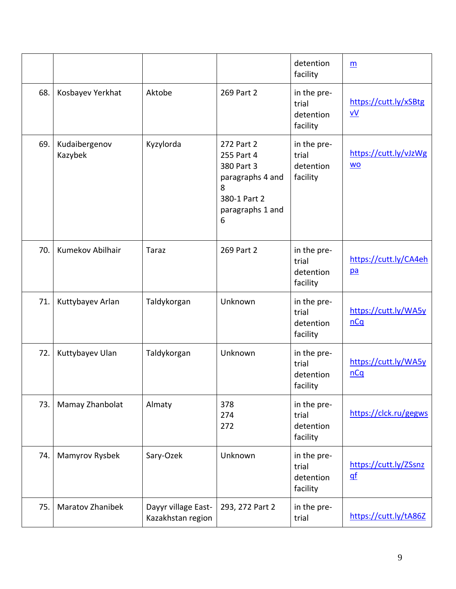|     |                          |                                          |                                                                                                          | detention<br>facility                         | $\underline{m}$                         |
|-----|--------------------------|------------------------------------------|----------------------------------------------------------------------------------------------------------|-----------------------------------------------|-----------------------------------------|
| 68. | Kosbayev Yerkhat         | Aktobe                                   | 269 Part 2                                                                                               | in the pre-<br>trial<br>detention<br>facility | https://cutt.ly/xSBtg<br>V <sub>V</sub> |
| 69. | Kudaibergenov<br>Kazybek | Kyzylorda                                | 272 Part 2<br>255 Part 4<br>380 Part 3<br>paragraphs 4 and<br>8<br>380-1 Part 2<br>paragraphs 1 and<br>6 | in the pre-<br>trial<br>detention<br>facility | https://cutt.ly/vJzWg<br><b>WO</b>      |
| 70. | Kumekov Abilhair         | <b>Taraz</b>                             | 269 Part 2                                                                                               | in the pre-<br>trial<br>detention<br>facility | https://cutt.ly/CA4eh<br>pa             |
| 71. | Kuttybayev Arlan         | Taldykorgan                              | Unknown                                                                                                  | in the pre-<br>trial<br>detention<br>facility | https://cutt.ly/WA5y<br>nCq             |
| 72. | Kuttybayev Ulan          | Taldykorgan                              | Unknown                                                                                                  | in the pre-<br>trial<br>detention<br>facility | https://cutt.ly/WA5y<br>nCq             |
| 73. | Mamay Zhanbolat          | Almaty                                   | 378<br>274<br>272                                                                                        | in the pre-<br>trial<br>detention<br>facility | https://clck.ru/gegws                   |
| 74. | Mamyrov Rysbek           | Sary-Ozek                                | Unknown                                                                                                  | in the pre-<br>trial<br>detention<br>facility | https://cutt.ly/ZSsnz<br>$q$ f          |
| 75. | <b>Maratov Zhanibek</b>  | Dayyr village East-<br>Kazakhstan region | 293, 272 Part 2                                                                                          | in the pre-<br>trial                          | https://cutt.ly/tA86Z                   |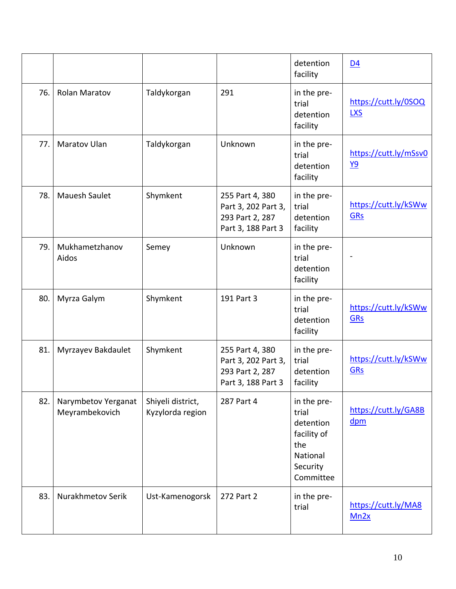|     |                                       |                                       |                                                                                 | detention<br>facility                                                                        | D <sub>4</sub>                     |
|-----|---------------------------------------|---------------------------------------|---------------------------------------------------------------------------------|----------------------------------------------------------------------------------------------|------------------------------------|
| 76. | Rolan Maratov                         | Taldykorgan                           | 291                                                                             | in the pre-<br>trial<br>detention<br>facility                                                | https://cutt.ly/0SOQ<br><b>LXS</b> |
| 77. | <b>Maratov Ulan</b>                   | Taldykorgan                           | Unknown                                                                         | in the pre-<br>trial<br>detention<br>facility                                                | https://cutt.ly/mSsv0<br><u>Y9</u> |
| 78. | <b>Mauesh Saulet</b>                  | Shymkent                              | 255 Part 4, 380<br>Part 3, 202 Part 3,<br>293 Part 2, 287<br>Part 3, 188 Part 3 | in the pre-<br>trial<br>detention<br>facility                                                | https://cutt.ly/kSWw<br>GRs        |
| 79. | Mukhametzhanov<br>Aidos               | Semey                                 | Unknown                                                                         | in the pre-<br>trial<br>detention<br>facility                                                |                                    |
| 80. | Myrza Galym                           | Shymkent                              | 191 Part 3                                                                      | in the pre-<br>trial<br>detention<br>facility                                                | https://cutt.ly/kSWw<br><b>GRs</b> |
| 81. | Myrzayev Bakdaulet                    | Shymkent                              | 255 Part 4, 380<br>Part 3, 202 Part 3,<br>293 Part 2, 287<br>Part 3, 188 Part 3 | in the pre-<br>trial<br>detention<br>facility                                                | https://cutt.ly/kSWw<br><b>GRs</b> |
| 82. | Narymbetov Yerganat<br>Meyrambekovich | Shiyeli district,<br>Kyzylorda region | 287 Part 4                                                                      | in the pre-<br>trial<br>detention<br>facility of<br>the<br>National<br>Security<br>Committee | https://cutt.ly/GA8B<br>$d$ pm     |
| 83. | Nurakhmetov Serik                     | Ust-Kamenogorsk                       | 272 Part 2                                                                      | in the pre-<br>trial                                                                         | https://cutt.ly/MA8<br>Mn2x        |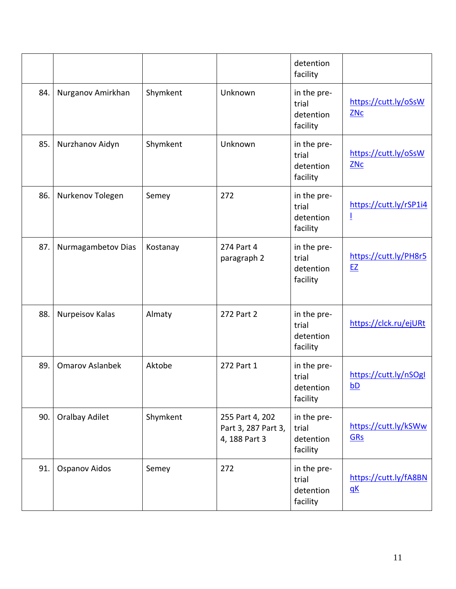|     |                        |          |                                                         | detention<br>facility                         |                             |
|-----|------------------------|----------|---------------------------------------------------------|-----------------------------------------------|-----------------------------|
| 84. | Nurganov Amirkhan      | Shymkent | Unknown                                                 | in the pre-<br>trial<br>detention<br>facility | https://cutt.ly/oSsW<br>ZNC |
| 85. | Nurzhanov Aidyn        | Shymkent | Unknown                                                 | in the pre-<br>trial<br>detention<br>facility | https://cutt.ly/oSsW<br>ZNC |
| 86. | Nurkenov Tolegen       | Semey    | 272                                                     | in the pre-<br>trial<br>detention<br>facility | https://cutt.ly/rSP1i4<br>Ī |
| 87. | Nurmagambetov Dias     | Kostanay | 274 Part 4<br>paragraph 2                               | in the pre-<br>trial<br>detention<br>facility | https://cutt.ly/PH8r5<br>EZ |
| 88. | Nurpeisov Kalas        | Almaty   | 272 Part 2                                              | in the pre-<br>trial<br>detention<br>facility | https://clck.ru/ejURt       |
| 89. | <b>Omarov Aslanbek</b> | Aktobe   | 272 Part 1                                              | in the pre-<br>trial<br>detention<br>facility | https://cutt.ly/nSOgl<br>bD |
| 90. | <b>Oralbay Adilet</b>  | Shymkent | 255 Part 4, 202<br>Part 3, 287 Part 3,<br>4, 188 Part 3 | in the pre-<br>trial<br>detention<br>facility | https://cutt.ly/kSWw<br>GRs |
| 91. | <b>Ospanov Aidos</b>   | Semey    | 272                                                     | in the pre-<br>trial<br>detention<br>facility | https://cutt.ly/fA8BN<br>qK |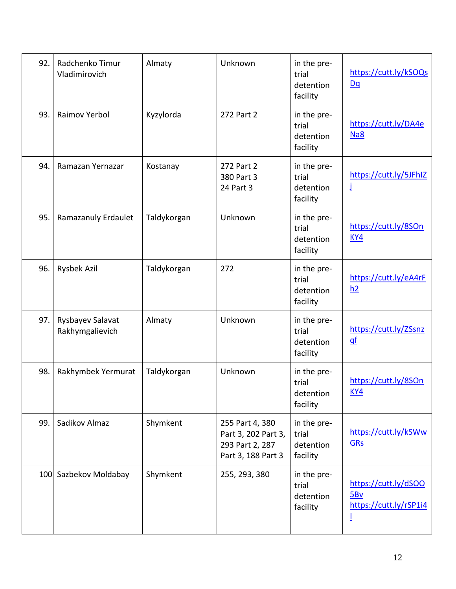| 92. | Radchenko Timur<br>Vladimirovich    | Almaty      | Unknown                                                                         | in the pre-<br>trial<br>detention<br>facility | https://cutt.ly/kSOQs<br>Dq                                |
|-----|-------------------------------------|-------------|---------------------------------------------------------------------------------|-----------------------------------------------|------------------------------------------------------------|
| 93. | Raimov Yerbol                       | Kyzylorda   | 272 Part 2                                                                      | in the pre-<br>trial<br>detention<br>facility | https://cutt.ly/DA4e<br>Na8                                |
| 94. | Ramazan Yernazar                    | Kostanay    | 272 Part 2<br>380 Part 3<br>24 Part 3                                           | in the pre-<br>trial<br>detention<br>facility | https://cutt.ly/5JFhIZ<br>İ                                |
| 95. | Ramazanuly Erdaulet                 | Taldykorgan | Unknown                                                                         | in the pre-<br>trial<br>detention<br>facility | https://cutt.ly/8SOn<br>KY4                                |
| 96. | Rysbek Azil                         | Taldykorgan | 272                                                                             | in the pre-<br>trial<br>detention<br>facility | https://cutt.ly/eA4rF<br>h2                                |
| 97. | Rysbayev Salavat<br>Rakhymgalievich | Almaty      | Unknown                                                                         | in the pre-<br>trial<br>detention<br>facility | https://cutt.ly/ZSsnz<br>$q$ f                             |
| 98. | Rakhymbek Yermurat                  | Taldykorgan | Unknown                                                                         | in the pre-<br>trial<br>detention<br>facility | https://cutt.ly/8SOn<br><u>KY4</u>                         |
| 99. | Sadikov Almaz                       | Shymkent    | 255 Part 4, 380<br>Part 3, 202 Part 3,<br>293 Part 2, 287<br>Part 3, 188 Part 3 | in the pre-<br>trial<br>detention<br>facility | https://cutt.ly/kSWw<br><b>GRs</b>                         |
|     | 100 Sazbekov Moldabay               | Shymkent    | 255, 293, 380                                                                   | in the pre-<br>trial<br>detention<br>facility | https://cutt.ly/dSOO<br>5Bv<br>https://cutt.ly/rSP1i4<br>Ī |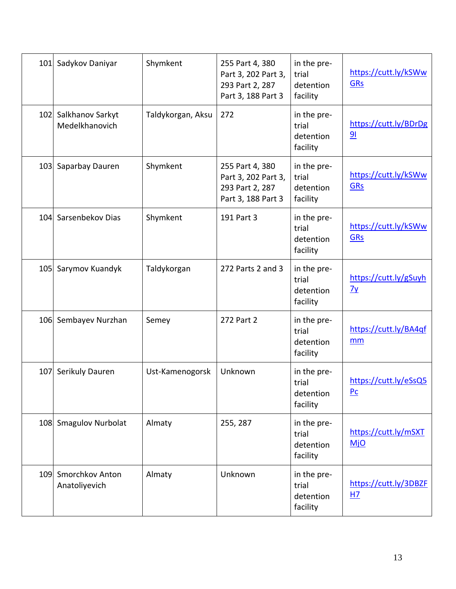| 101 | Sadykov Daniyar                      | Shymkent          | 255 Part 4, 380<br>Part 3, 202 Part 3,<br>293 Part 2, 287<br>Part 3, 188 Part 3 | in the pre-<br>trial<br>detention<br>facility | https://cutt.ly/kSWw<br><b>GRs</b>      |
|-----|--------------------------------------|-------------------|---------------------------------------------------------------------------------|-----------------------------------------------|-----------------------------------------|
| 102 | Salkhanov Sarkyt<br>Medelkhanovich   | Taldykorgan, Aksu | 272                                                                             | in the pre-<br>trial<br>detention<br>facility | https://cutt.ly/BDrDg<br>91             |
| 103 | Saparbay Dauren                      | Shymkent          | 255 Part 4, 380<br>Part 3, 202 Part 3,<br>293 Part 2, 287<br>Part 3, 188 Part 3 | in the pre-<br>trial<br>detention<br>facility | https://cutt.ly/kSWw<br><b>GRs</b>      |
|     | 104 Sarsenbekov Dias                 | Shymkent          | 191 Part 3                                                                      | in the pre-<br>trial<br>detention<br>facility | https://cutt.ly/kSWw<br><b>GRs</b>      |
|     | 105 Sarymov Kuandyk                  | Taldykorgan       | 272 Parts 2 and 3                                                               | in the pre-<br>trial<br>detention<br>facility | https://cutt.ly/gSuyh<br>$\frac{7y}{2}$ |
| 106 | Sembayev Nurzhan                     | Semey             | 272 Part 2                                                                      | in the pre-<br>trial<br>detention<br>facility | https://cutt.ly/BA4qf<br>mm             |
| 107 | Serikuly Dauren                      | Ust-Kamenogorsk   | Unknown                                                                         | in the pre-<br>trial<br>detention<br>facility | https://cutt.ly/eSsQ5<br>P <sub>C</sub> |
|     | 108 Smagulov Nurbolat                | Almaty            | 255, 287                                                                        | in the pre-<br>trial<br>detention<br>facility | https://cutt.ly/mSXT<br><b>MjO</b>      |
|     | 109 Smorchkov Anton<br>Anatoliyevich | Almaty            | Unknown                                                                         | in the pre-<br>trial<br>detention<br>facility | https://cutt.ly/3DBZF<br>HZ             |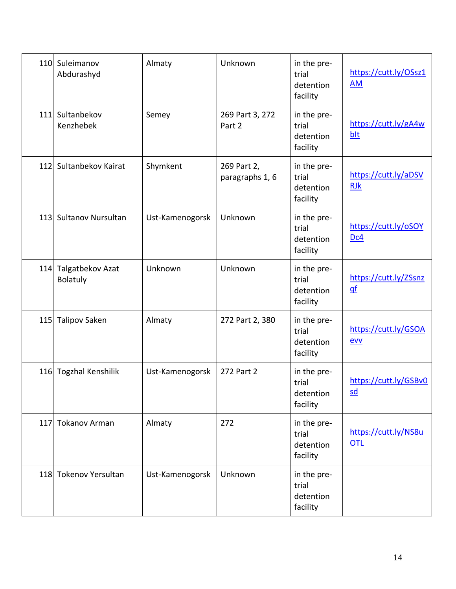| 110 | Suleimanov<br>Abdurashyd                | Almaty          | Unknown                        | in the pre-<br>trial<br>detention<br>facility | https://cutt.ly/OSsz1<br><b>AM</b>                 |
|-----|-----------------------------------------|-----------------|--------------------------------|-----------------------------------------------|----------------------------------------------------|
| 111 | Sultanbekov<br>Kenzhebek                | Semey           | 269 Part 3, 272<br>Part 2      | in the pre-<br>trial<br>detention<br>facility | https://cutt.ly/gA4w<br>blt                        |
| 112 | Sultanbekov Kairat                      | Shymkent        | 269 Part 2,<br>paragraphs 1, 6 | in the pre-<br>trial<br>detention<br>facility | https://cutt.ly/aDSV<br><b>RJk</b>                 |
|     | 113 Sultanov Nursultan                  | Ust-Kamenogorsk | Unknown                        | in the pre-<br>trial<br>detention<br>facility | https://cutt.ly/oSOY<br>Dc4                        |
|     | 114 Talgatbekov Azat<br><b>Bolatuly</b> | Unknown         | Unknown                        | in the pre-<br>trial<br>detention<br>facility | https://cutt.ly/ZSsnz<br>$q$ f                     |
|     | 115 Talipov Saken                       | Almaty          | 272 Part 2, 380                | in the pre-<br>trial<br>detention<br>facility | https://cutt.ly/GSOA<br>evv                        |
|     | 116 Togzhal Kenshilik                   | Ust-Kamenogorsk | 272 Part 2                     | in the pre-<br>trial<br>detention<br>facility | https://cutt.ly/GSBv0<br>$\underline{\mathsf{sd}}$ |
|     | 117 Tokanov Arman                       | Almaty          | 272                            | in the pre-<br>trial<br>detention<br>facility | https://cutt.ly/NS8u<br>OTL                        |
|     | 118 Tokenov Yersultan                   | Ust-Kamenogorsk | Unknown                        | in the pre-<br>trial<br>detention<br>facility |                                                    |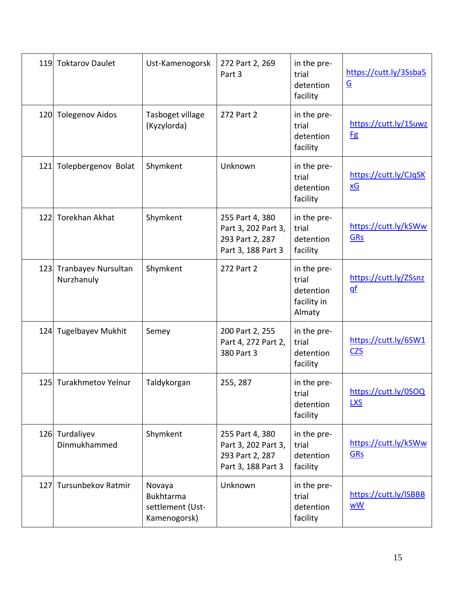| 119 | <b>Toktarov Daulet</b>            | Ust-Kamenogorsk                                                | 272 Part 2, 269<br>Part 3                                                       | in the pre-<br>trial<br>detention<br>facility              | https://cutt.ly/3Ssba5<br>$\underline{\mathsf{G}}$ |
|-----|-----------------------------------|----------------------------------------------------------------|---------------------------------------------------------------------------------|------------------------------------------------------------|----------------------------------------------------|
|     | 120 Tolegenov Aidos               | Tasboget village<br>(Kyzylorda)                                | 272 Part 2                                                                      | in the pre-<br>trial<br>detention<br>facility              | https://cutt.ly/1Suwz<br><b>Fg</b>                 |
| 121 | Tolepbergenov Bolat               | Shymkent                                                       | Unknown                                                                         | in the pre-<br>trial<br>detention<br>facility              | https://cutt.ly/CJqSK<br>$\underline{x}$ G         |
|     | 122 Torekhan Akhat                | Shymkent                                                       | 255 Part 4, 380<br>Part 3, 202 Part 3,<br>293 Part 2, 287<br>Part 3, 188 Part 3 | in the pre-<br>trial<br>detention<br>facility              | https://cutt.ly/kSWw<br><b>GRs</b>                 |
| 123 | Tranbayev Nursultan<br>Nurzhanuly | Shymkent                                                       | 272 Part 2                                                                      | in the pre-<br>trial<br>detention<br>facility in<br>Almaty | https://cutt.ly/ZSsnz<br>$q$ f                     |
| 124 | <b>Tugelbayev Mukhit</b>          | Semey                                                          | 200 Part 2, 255<br>Part 4, 272 Part 2,<br>380 Part 3                            | in the pre-<br>trial<br>detention<br>facility              | https://cutt.ly/6SW1<br><b>CZS</b>                 |
|     | 125 Turakhmetov Yelnur            | Taldykorgan                                                    | 255, 287                                                                        | in the pre-<br>trial<br>detention<br>facility              | https://cutt.ly/0SOQ<br><b>LXS</b>                 |
|     | 126 Turdaliyev<br>Dinmukhammed    | Shymkent                                                       | 255 Part 4, 380<br>Part 3, 202 Part 3,<br>293 Part 2, 287<br>Part 3, 188 Part 3 | in the pre-<br>trial<br>detention<br>facility              | https://cutt.ly/kSWw<br>GRs                        |
|     | 127 Tursunbekov Ratmir            | Novaya<br><b>Bukhtarma</b><br>settlement (Ust-<br>Kamenogorsk) | Unknown                                                                         | in the pre-<br>trial<br>detention<br>facility              | https://cutt.ly/ISBBB<br><b>wW</b>                 |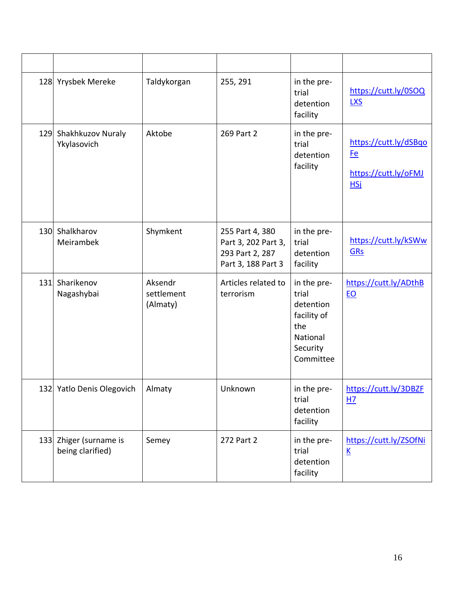|     | 128 Yrysbek Mereke                         | Taldykorgan                       | 255, 291                                                                        | in the pre-<br>trial<br>detention<br>facility                                                | https://cutt.ly/0SOQ<br><b>LXS</b>                                       |
|-----|--------------------------------------------|-----------------------------------|---------------------------------------------------------------------------------|----------------------------------------------------------------------------------------------|--------------------------------------------------------------------------|
| 129 | Shakhkuzov Nuraly<br>Ykylasovich           | Aktobe                            | 269 Part 2                                                                      | in the pre-<br>trial<br>detention<br>facility                                                | https://cutt.ly/dSBqo<br><u>Fe</u><br>https://cutt.ly/oFMJ<br><b>HSj</b> |
|     | 130 Shalkharov<br>Meirambek                | Shymkent                          | 255 Part 4, 380<br>Part 3, 202 Part 3,<br>293 Part 2, 287<br>Part 3, 188 Part 3 | in the pre-<br>trial<br>detention<br>facility                                                | https://cutt.ly/kSWw<br><b>GRs</b>                                       |
| 131 | Sharikenov<br>Nagashybai                   | Aksendr<br>settlement<br>(Almaty) | Articles related to<br>terrorism                                                | in the pre-<br>trial<br>detention<br>facility of<br>the<br>National<br>Security<br>Committee | https://cutt.ly/ADthB<br>EO                                              |
|     | 132 Yatlo Denis Olegovich                  | Almaty                            | Unknown                                                                         | in the pre-<br>trial<br>detention<br>facility                                                | https://cutt.ly/3DBZF<br>H <sub>7</sub>                                  |
|     | 133 Zhiger (surname is<br>being clarified) | Semey                             | 272 Part 2                                                                      | in the pre-<br>trial<br>detention<br>facility                                                | https://cutt.ly/ZSOfNi<br>$\underline{\mathsf{K}}$                       |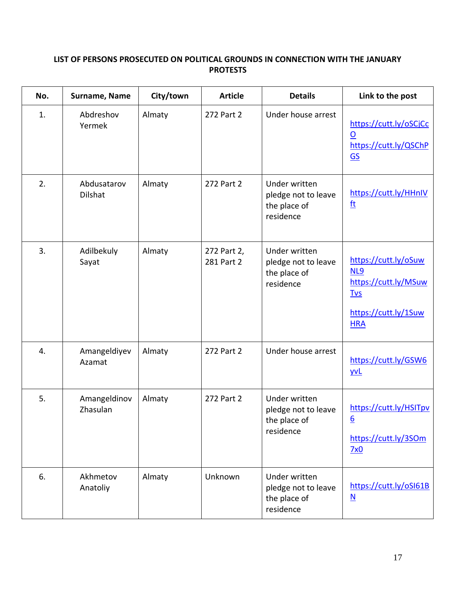# **LIST OF PERSONS PROSECUTED ON POLITICAL GROUNDS IN CONNECTION WITH THE JANUARY PROTESTS**

| No. | Surname, Name            | City/town | <b>Article</b>            | <b>Details</b>                                                    | Link to the post                                                                                        |
|-----|--------------------------|-----------|---------------------------|-------------------------------------------------------------------|---------------------------------------------------------------------------------------------------------|
| 1.  | Abdreshov<br>Yermek      | Almaty    | 272 Part 2                | Under house arrest                                                | https://cutt.ly/oSCjCc<br>$\overline{\mathsf{O}}$<br>https://cutt.ly/QSChP<br>GS                        |
| 2.  | Abdusatarov<br>Dilshat   | Almaty    | 272 Part 2                | Under written<br>pledge not to leave<br>the place of<br>residence | https://cutt.ly/HHnIV<br><u>ft</u>                                                                      |
| 3.  | Adilbekuly<br>Sayat      | Almaty    | 272 Part 2,<br>281 Part 2 | Under written<br>pledge not to leave<br>the place of<br>residence | https://cutt.ly/oSuw<br>NL9<br>https://cutt.ly/MSuw<br><b>Tvs</b><br>https://cutt.ly/1Suw<br><b>HRA</b> |
| 4.  | Amangeldiyev<br>Azamat   | Almaty    | 272 Part 2                | Under house arrest                                                | https://cutt.ly/GSW6<br><u>yvL</u>                                                                      |
| 5.  | Amangeldinov<br>Zhasulan | Almaty    | 272 Part 2                | Under written<br>pledge not to leave<br>the place of<br>residence | https://cutt.ly/HSITpv<br>$6 \overline{6}$<br>https://cutt.ly/3SOm<br>7x0                               |
| 6.  | Akhmetov<br>Anatoliy     | Almaty    | Unknown                   | Under written<br>pledge not to leave<br>the place of<br>residence | https://cutt.ly/oSI61B<br>$\underline{\mathsf{N}}$                                                      |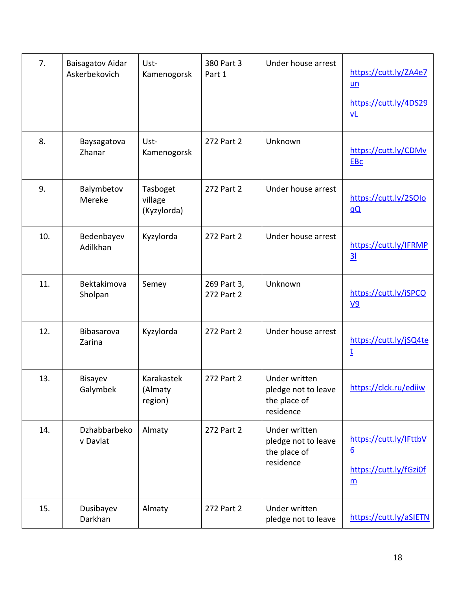| 7.  | <b>Baisagatov Aidar</b><br>Askerbekovich | Ust-<br>Kamenogorsk                | 380 Part 3<br>Part 1      | Under house arrest                                                | https://cutt.ly/ZA4e7<br>$un$<br>https://cutt.ly/4DS29<br>$vl$ |
|-----|------------------------------------------|------------------------------------|---------------------------|-------------------------------------------------------------------|----------------------------------------------------------------|
| 8.  | Baysagatova<br>Zhanar                    | Ust-<br>Kamenogorsk                | 272 Part 2                | Unknown                                                           | https://cutt.ly/CDMv<br><b>EBc</b>                             |
| 9.  | Balymbetov<br>Mereke                     | Tasboget<br>village<br>(Kyzylorda) | 272 Part 2                | Under house arrest                                                | https://cutt.ly/2SOIo<br>$\underline{a}\underline{Q}$          |
| 10. | Bedenbayev<br>Adilkhan                   | Kyzylorda                          | 272 Part 2                | Under house arrest                                                | https://cutt.ly/IFRMP<br>$\overline{\mathbf{3}}$               |
| 11. | Bektakimova<br>Sholpan                   | Semey                              | 269 Part 3,<br>272 Part 2 | Unknown                                                           | https://cutt.ly/iSPCO<br><u>V9</u>                             |
| 12. | Bibasarova<br>Zarina                     | Kyzylorda                          | 272 Part 2                | Under house arrest                                                | https://cutt.ly/jSQ4te<br>t                                    |
| 13. | <b>Bisayev</b><br>Galymbek               | Karakastek<br>(Almaty<br>region)   | 272 Part 2                | Under written<br>pledge not to leave<br>the place of<br>residence | https://clck.ru/ediiw                                          |
| 14. | Dzhabbarbeko<br>v Davlat                 | Almaty                             | 272 Part 2                | Under written<br>pledge not to leave<br>the place of<br>residence | https://cutt.ly/IFttbV<br>6<br>https://cutt.ly/fGzi0f<br>m     |
| 15. | Dusibayev<br>Darkhan                     | Almaty                             | 272 Part 2                | Under written<br>pledge not to leave                              | https://cutt.ly/aSIETN                                         |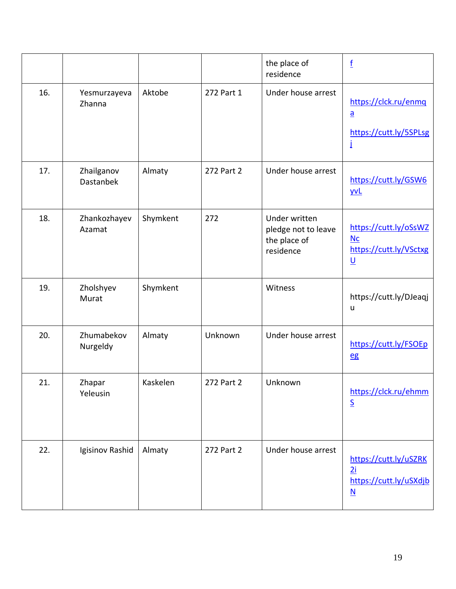|     |                         |          |            | the place of<br>residence                                         | $\underline{\mathbf{f}}$                                                          |
|-----|-------------------------|----------|------------|-------------------------------------------------------------------|-----------------------------------------------------------------------------------|
| 16. | Yesmurzayeva<br>Zhanna  | Aktobe   | 272 Part 1 | Under house arrest                                                | https://clck.ru/enmq<br>$\underline{a}$<br>https://cutt.ly/5SPLsg<br>İ            |
| 17. | Zhailganov<br>Dastanbek | Almaty   | 272 Part 2 | Under house arrest                                                | https://cutt.ly/GSW6<br><u>yvL</u>                                                |
| 18. | Zhankozhayev<br>Azamat  | Shymkent | 272        | Under written<br>pledge not to leave<br>the place of<br>residence | https://cutt.ly/oSsWZ<br>Nc<br>https://cutt.ly/VSctxg<br>$\underline{\mathsf{U}}$ |
| 19. | Zholshyev<br>Murat      | Shymkent |            | Witness                                                           | https://cutt.ly/DJeaqj<br>u                                                       |
| 20. | Zhumabekov<br>Nurgeldy  | Almaty   | Unknown    | Under house arrest                                                | https://cutt.ly/FSOEp<br>eg                                                       |
| 21. | Zhapar<br>Yeleusin      | Kaskelen | 272 Part 2 | Unknown                                                           | https://clck.ru/ehmm<br>$\underline{\mathsf{S}}$                                  |
| 22. | Igisinov Rashid         | Almaty   | 272 Part 2 | Under house arrest                                                | https://cutt.ly/uSZRK<br>2i<br>https://cutt.ly/uSXdjb<br>$\underline{\mathsf{N}}$ |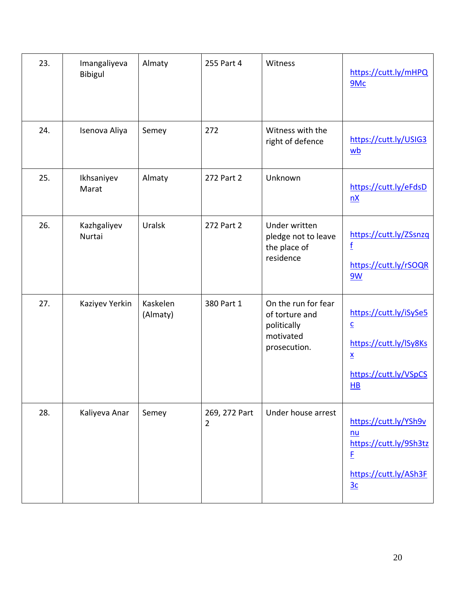| 23. | Imangaliyeva<br>Bibigul | Almaty               | 255 Part 4                      | Witness                                                                           | https://cutt.ly/mHPQ<br>9Mc                                                                                                            |
|-----|-------------------------|----------------------|---------------------------------|-----------------------------------------------------------------------------------|----------------------------------------------------------------------------------------------------------------------------------------|
| 24. | Isenova Aliya           | Semey                | 272                             | Witness with the<br>right of defence                                              | https://cutt.ly/USIG3<br>wb                                                                                                            |
| 25. | Ikhsaniyev<br>Marat     | Almaty               | 272 Part 2                      | Unknown                                                                           | https://cutt.ly/eFdsD<br>nX                                                                                                            |
| 26. | Kazhgaliyev<br>Nurtai   | Uralsk               | 272 Part 2                      | Under written<br>pledge not to leave<br>the place of<br>residence                 | https://cutt.ly/ZSsnzq<br>f<br>https://cutt.ly/rSOQR<br>9W                                                                             |
| 27. | Kaziyev Yerkin          | Kaskelen<br>(Almaty) | 380 Part 1                      | On the run for fear<br>of torture and<br>politically<br>motivated<br>prosecution. | https://cutt.ly/iSySe5<br>$\underline{\mathsf{C}}$<br>https://cutt.ly/ISy8Ks<br>$\underline{\mathsf{X}}$<br>https://cutt.ly/VSpCS<br>H |
| 28. | Kaliyeva Anar           | Semey                | 269, 272 Part<br>$\overline{2}$ | Under house arrest                                                                | https://cutt.ly/YSh9v<br>$nu$<br>https://cutt.ly/9Sh3tz<br>E<br>https://cutt.ly/ASh3F<br>3c                                            |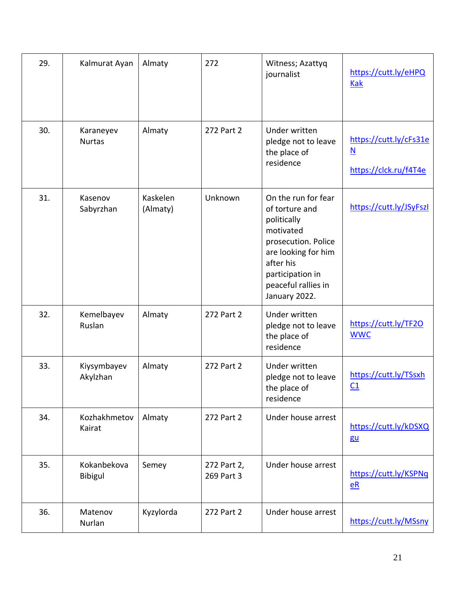| 29. | Kalmurat Ayan              | Almaty               | 272                       | Witness; Azattyq<br>journalist                                                                                                                                                           | https://cutt.ly/eHPQ<br><b>Kak</b>                                          |
|-----|----------------------------|----------------------|---------------------------|------------------------------------------------------------------------------------------------------------------------------------------------------------------------------------------|-----------------------------------------------------------------------------|
| 30. | Karaneyev<br><b>Nurtas</b> | Almaty               | 272 Part 2                | Under written<br>pledge not to leave<br>the place of<br>residence                                                                                                                        | https://cutt.ly/cFs31e<br>$\underline{\mathsf{N}}$<br>https://clck.ru/f4T4e |
| 31. | Kasenov<br>Sabyrzhan       | Kaskelen<br>(Almaty) | <b>Unknown</b>            | On the run for fear<br>of torture and<br>politically<br>motivated<br>prosecution. Police<br>are looking for him<br>after his<br>participation in<br>peaceful rallies in<br>January 2022. | https://cutt.ly/JSyFszl                                                     |
| 32. | Kemelbayev<br>Ruslan       | Almaty               | 272 Part 2                | Under written<br>pledge not to leave<br>the place of<br>residence                                                                                                                        | https://cutt.ly/TF20<br><b>WWC</b>                                          |
| 33. | Kiysymbayev<br>Akylzhan    | Almaty               | 272 Part 2                | Under written<br>pledge not to leave<br>the place of<br>residence                                                                                                                        | https://cutt.ly/TSsxh<br>$\underline{C1}$                                   |
| 34. | Kozhakhmetov<br>Kairat     | Almaty               | 272 Part 2                | Under house arrest                                                                                                                                                                       | https://cutt.ly/kDSXQ<br>gu                                                 |
| 35. | Kokanbekova<br>Bibigul     | Semey                | 272 Part 2,<br>269 Part 3 | Under house arrest                                                                                                                                                                       | https://cutt.ly/KSPNq<br>$eR$                                               |
| 36. | Matenov<br>Nurlan          | Kyzylorda            | 272 Part 2                | Under house arrest                                                                                                                                                                       | https://cutt.ly/MSsny                                                       |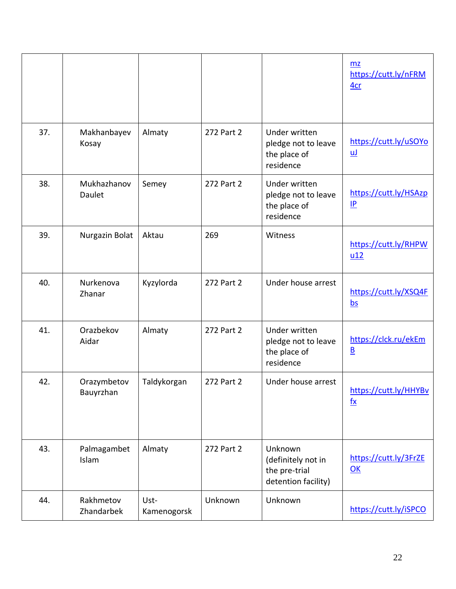|     |                          |                     |            |                                                                       | mz<br>https://cutt.ly/nFRM<br>4 <sub>cr</sub>      |
|-----|--------------------------|---------------------|------------|-----------------------------------------------------------------------|----------------------------------------------------|
| 37. | Makhanbayev<br>Kosay     | Almaty              | 272 Part 2 | Under written<br>pledge not to leave<br>the place of<br>residence     | https://cutt.ly/uSOYo<br><u>uJ</u>                 |
| 38. | Mukhazhanov<br>Daulet    | Semey               | 272 Part 2 | Under written<br>pledge not to leave<br>the place of<br>residence     | https://cutt.ly/HSAzp<br>P                         |
| 39. | Nurgazin Bolat           | Aktau               | 269        | Witness                                                               | https://cutt.ly/RHPW<br>$u12$                      |
| 40. | Nurkenova<br>Zhanar      | Kyzylorda           | 272 Part 2 | Under house arrest                                                    | https://cutt.ly/XSQ4F<br>$\underline{\mathsf{bs}}$ |
| 41. | Orazbekov<br>Aidar       | Almaty              | 272 Part 2 | Under written<br>pledge not to leave<br>the place of<br>residence     | https://clck.ru/ekEm<br>$\underline{\mathsf{B}}$   |
| 42. | Orazymbetov<br>Bauyrzhan | Taldykorgan         | 272 Part 2 | Under house arrest                                                    | https://cutt.ly/HHYBv<br>$f_{\mathbf{X}}$          |
| 43. | Palmagambet<br>Islam     | Almaty              | 272 Part 2 | Unknown<br>(definitely not in<br>the pre-trial<br>detention facility) | https://cutt.ly/3FrZE<br>OK                        |
| 44. | Rakhmetov<br>Zhandarbek  | Ust-<br>Kamenogorsk | Unknown    | Unknown                                                               | https://cutt.ly/iSPCO                              |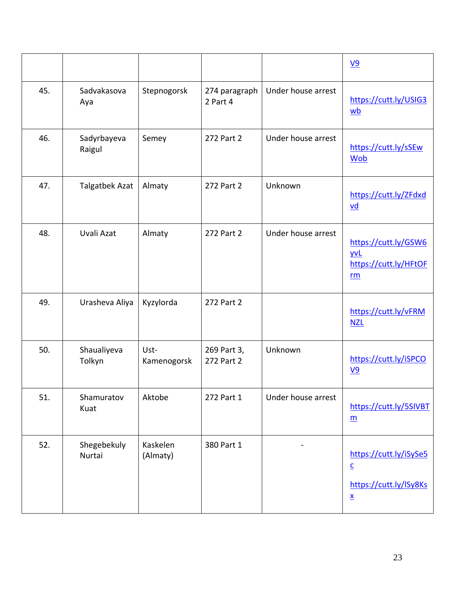|     |                       |                      |                           |                    | $\underline{V9}$                                                                                |
|-----|-----------------------|----------------------|---------------------------|--------------------|-------------------------------------------------------------------------------------------------|
| 45. | Sadvakasova<br>Aya    | Stepnogorsk          | 274 paragraph<br>2 Part 4 | Under house arrest | https://cutt.ly/USIG3<br>wb                                                                     |
| 46. | Sadyrbayeva<br>Raigul | Semey                | 272 Part 2                | Under house arrest | https://cutt.ly/sSEw<br><b>Wob</b>                                                              |
| 47. | Talgatbek Azat        | Almaty               | 272 Part 2                | Unknown            | https://cutt.ly/ZFdxd<br>$\underline{vd}$                                                       |
| 48. | Uvali Azat            | Almaty               | 272 Part 2                | Under house arrest | https://cutt.ly/GSW6<br><b>yvL</b><br>https://cutt.ly/HFtOF<br>rm                               |
| 49. | Urasheva Aliya        | Kyzylorda            | 272 Part 2                |                    | https://cutt.ly/vFRM<br><b>NZL</b>                                                              |
| 50. | Shaualiyeva<br>Tolkyn | Ust-<br>Kamenogorsk  | 269 Part 3,<br>272 Part 2 | Unknown            | https://cutt.ly/iSPCO<br>$V9$                                                                   |
| 51. | Shamuratov<br>Kuat    | Aktobe               | 272 Part 1                | Under house arrest | https://cutt.ly/5SIVBT<br>$\underline{m}$                                                       |
| 52. | Shegebekuly<br>Nurtai | Kaskelen<br>(Almaty) | 380 Part 1                |                    | https://cutt.ly/iSySe5<br>$\underline{\mathsf{c}}$<br>https://cutt.ly/lSy8Ks<br>$\underline{x}$ |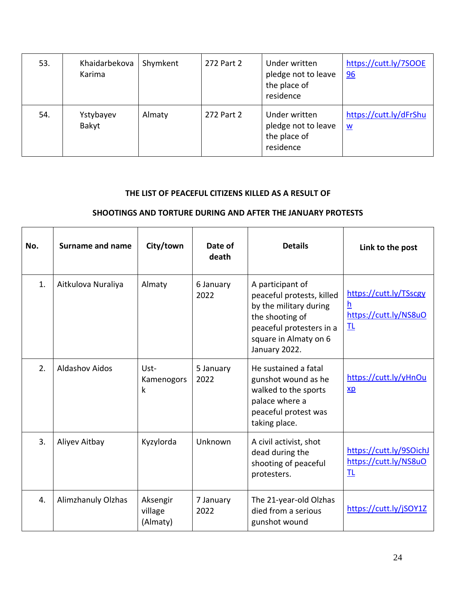| 53. | Khaidarbekova<br>Karima | Shymkent | 272 Part 2 | Under written<br>pledge not to leave<br>the place of<br>residence | https://cutt.ly/7SOOE<br>96                        |
|-----|-------------------------|----------|------------|-------------------------------------------------------------------|----------------------------------------------------|
| 54. | Ystybayev<br>Bakyt      | Almaty   | 272 Part 2 | Under written<br>pledge not to leave<br>the place of<br>residence | https://cutt.ly/dFrShu<br>$\underline{\mathsf{w}}$ |

## **THE LIST OF PEACEFUL CITIZENS KILLED AS A RESULT OF**

### **SHOOTINGS AND TORTURE DURING AND AFTER THE JANUARY PROTESTS**

| No. | <b>Surname and name</b> | City/town                       | Date of<br>death  | <b>Details</b>                                                                                                                                                   | Link to the post                                              |
|-----|-------------------------|---------------------------------|-------------------|------------------------------------------------------------------------------------------------------------------------------------------------------------------|---------------------------------------------------------------|
| 1.  | Aitkulova Nuraliya      | Almaty                          | 6 January<br>2022 | A participant of<br>peaceful protests, killed<br>by the military during<br>the shooting of<br>peaceful protesters in a<br>square in Almaty on 6<br>January 2022. | https://cutt.ly/TSscgy<br>h<br>https://cutt.ly/NS8uO<br>卫     |
| 2.  | <b>Aldashov Aidos</b>   | Ust-<br>Kamenogors<br>k         | 5 January<br>2022 | He sustained a fatal<br>gunshot wound as he<br>walked to the sports<br>palace where a<br>peaceful protest was<br>taking place.                                   | https://cutt.ly/yHnOu<br>$\underline{xp}$                     |
| 3.  | Aliyev Aitbay           | Kyzylorda                       | Unknown           | A civil activist, shot<br>dead during the<br>shooting of peaceful<br>protesters.                                                                                 | https://cutt.ly/9SOichJ<br>https://cutt.ly/NS8uO<br><u>TL</u> |
| 4.  | Alimzhanuly Olzhas      | Aksengir<br>village<br>(Almaty) | 7 January<br>2022 | The 21-year-old Olzhas<br>died from a serious<br>gunshot wound                                                                                                   | https://cutt.ly/jSOY1Z                                        |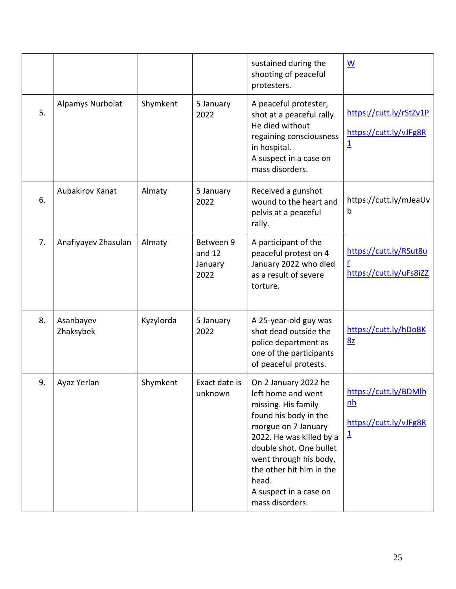|    |                        |           |                                          | sustained during the<br>shooting of peaceful<br>protesters.                                                                                                                                                                                                                          | $\underline{\mathsf{W}}$                                                     |
|----|------------------------|-----------|------------------------------------------|--------------------------------------------------------------------------------------------------------------------------------------------------------------------------------------------------------------------------------------------------------------------------------------|------------------------------------------------------------------------------|
| 5. | Alpamys Nurbolat       | Shymkent  | 5 January<br>2022                        | A peaceful protester,<br>shot at a peaceful rally.<br>He died without<br>regaining consciousness<br>in hospital.<br>A suspect in a case on<br>mass disorders.                                                                                                                        | https://cutt.ly/rStZv1P<br>https://cutt.ly/vJFg8R<br>$\overline{\mathbf{1}}$ |
| 6. | Aubakirov Kanat        | Almaty    | 5 January<br>2022                        | Received a gunshot<br>wound to the heart and<br>pelvis at a peaceful<br>rally.                                                                                                                                                                                                       | https://cutt.ly/mJeaUv<br>b                                                  |
| 7. | Anafiyayev Zhasulan    | Almaty    | Between 9<br>and $12$<br>January<br>2022 | A participant of the<br>peaceful protest on 4<br>January 2022 who died<br>as a result of severe<br>torture.                                                                                                                                                                          | https://cutt.ly/RSut8u<br>r<br>https://cutt.ly/uFs8iZZ                       |
| 8. | Asanbayev<br>Zhaksybek | Kyzylorda | 5 January<br>2022                        | A 25-year-old guy was<br>shot dead outside the<br>police department as<br>one of the participants<br>of peaceful protests.                                                                                                                                                           | https://cutt.ly/hDoBK<br>8z                                                  |
| 9. | Ayaz Yerlan            | Shymkent  | Exact date is<br>unknown                 | On 2 January 2022 he<br>left home and went<br>missing. His family<br>found his body in the<br>morgue on 7 January<br>2022. He was killed by a<br>double shot. One bullet<br>went through his body,<br>the other hit him in the<br>head.<br>A suspect in a case on<br>mass disorders. | https://cutt.ly/BDMlh<br>nh<br>https://cutt.ly/vJFg8R<br>$\overline{1}$      |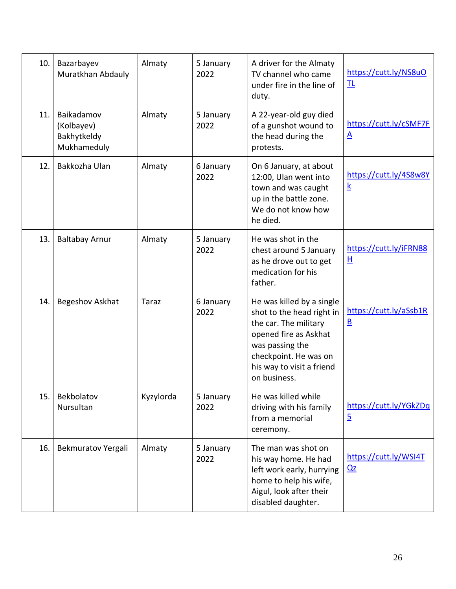| 10. | Bazarbayev<br>Muratkhan Abdauly                        | Almaty    | 5 January<br>2022 | A driver for the Almaty<br>TV channel who came<br>under fire in the line of<br>duty.                                                                                                              | https://cutt.ly/NS8uO<br>卫                         |
|-----|--------------------------------------------------------|-----------|-------------------|---------------------------------------------------------------------------------------------------------------------------------------------------------------------------------------------------|----------------------------------------------------|
| 11. | Baikadamov<br>(Kolbayev)<br>Bakhytkeldy<br>Mukhameduly | Almaty    | 5 January<br>2022 | A 22-year-old guy died<br>of a gunshot wound to<br>the head during the<br>protests.                                                                                                               | https://cutt.ly/cSMF7F<br>$\underline{A}$          |
| 12. | Bakkozha Ulan                                          | Almaty    | 6 January<br>2022 | On 6 January, at about<br>12:00, Ulan went into<br>town and was caught<br>up in the battle zone.<br>We do not know how<br>he died.                                                                | https://cutt.ly/4S8w8Y<br>$\underline{k}$          |
| 13. | <b>Baltabay Arnur</b>                                  | Almaty    | 5 January<br>2022 | He was shot in the<br>chest around 5 January<br>as he drove out to get<br>medication for his<br>father.                                                                                           | https://cutt.ly/iFRN88<br>н                        |
| 14. | Begeshov Askhat                                        | Taraz     | 6 January<br>2022 | He was killed by a single<br>shot to the head right in<br>the car. The military<br>opened fire as Askhat<br>was passing the<br>checkpoint. He was on<br>his way to visit a friend<br>on business. | https://cutt.ly/aSsb1R<br>$\underline{\mathsf{B}}$ |
| 15. | Bekbolatov<br>Nursultan                                | Kyzylorda | 5 January<br>2022 | He was killed while<br>driving with his family<br>from a memorial<br>ceremony.                                                                                                                    | https://cutt.ly/YGkZDq<br>$\overline{5}$           |
| 16. | Bekmuratov Yergali                                     | Almaty    | 5 January<br>2022 | The man was shot on<br>his way home. He had<br>left work early, hurrying<br>home to help his wife,<br>Aigul, look after their<br>disabled daughter.                                               | https://cutt.ly/WSI4T<br>Qz                        |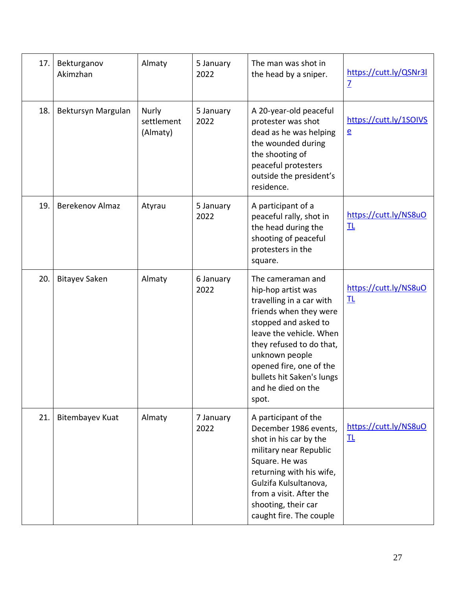| 17. | Bekturganov<br>Akimzhan | Almaty                                 | 5 January<br>2022 | The man was shot in<br>the head by a sniper.                                                                                                                                                                                                                                          | https://cutt.ly/QSNr3l<br>$\overline{1}$ |
|-----|-------------------------|----------------------------------------|-------------------|---------------------------------------------------------------------------------------------------------------------------------------------------------------------------------------------------------------------------------------------------------------------------------------|------------------------------------------|
| 18. | Bektursyn Margulan      | <b>Nurly</b><br>settlement<br>(Almaty) | 5 January<br>2022 | A 20-year-old peaceful<br>protester was shot<br>dead as he was helping<br>the wounded during<br>the shooting of<br>peaceful protesters<br>outside the president's<br>residence.                                                                                                       | https://cutt.ly/1SOIVS<br>$\overline{e}$ |
| 19. | Berekenov Almaz         | Atyrau                                 | 5 January<br>2022 | A participant of a<br>peaceful rally, shot in<br>the head during the<br>shooting of peaceful<br>protesters in the<br>square.                                                                                                                                                          | https://cutt.ly/NS8uO<br>卫               |
| 20. | <b>Bitayev Saken</b>    | Almaty                                 | 6 January<br>2022 | The cameraman and<br>hip-hop artist was<br>travelling in a car with<br>friends when they were<br>stopped and asked to<br>leave the vehicle. When<br>they refused to do that,<br>unknown people<br>opened fire, one of the<br>bullets hit Saken's lungs<br>and he died on the<br>spot. | https://cutt.ly/NS8uO<br>卫               |
| 21. | <b>Bitembayev Kuat</b>  | Almaty                                 | 7 January<br>2022 | A participant of the<br>December 1986 events,<br>shot in his car by the<br>military near Republic<br>Square. He was<br>returning with his wife,<br>Gulzifa Kulsultanova,<br>from a visit. After the<br>shooting, their car<br>caught fire. The couple                                 | https://cutt.ly/NS8uO<br>卫               |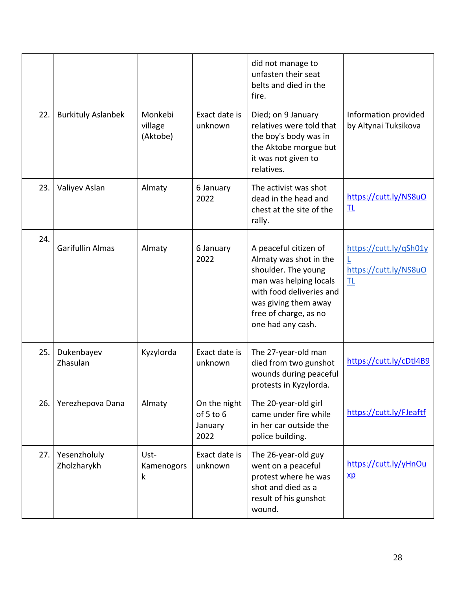|     |                             |                                |                                              | did not manage to<br>unfasten their seat<br>belts and died in the<br>fire.                                                                                                                         |                                                           |
|-----|-----------------------------|--------------------------------|----------------------------------------------|----------------------------------------------------------------------------------------------------------------------------------------------------------------------------------------------------|-----------------------------------------------------------|
| 22. | <b>Burkituly Aslanbek</b>   | Monkebi<br>village<br>(Aktobe) | Exact date is<br>unknown                     | Died; on 9 January<br>relatives were told that<br>the boy's body was in<br>the Aktobe morgue but<br>it was not given to<br>relatives.                                                              | Information provided<br>by Altynai Tuksikova              |
| 23. | Valiyev Aslan               | Almaty                         | 6 January<br>2022                            | The activist was shot<br>dead in the head and<br>chest at the site of the<br>rally.                                                                                                                | https://cutt.ly/NS8uO<br>卫                                |
| 24. | <b>Garifullin Almas</b>     | Almaty                         | 6 January<br>2022                            | A peaceful citizen of<br>Almaty was shot in the<br>shoulder. The young<br>man was helping locals<br>with food deliveries and<br>was giving them away<br>free of charge, as no<br>one had any cash. | https://cutt.ly/qSh01y<br>L<br>https://cutt.ly/NS8uO<br>卫 |
| 25. | Dukenbayev<br>Zhasulan      | Kyzylorda                      | Exact date is<br>unknown                     | The 27-year-old man<br>died from two gunshot<br>wounds during peaceful<br>protests in Kyzylorda.                                                                                                   | https://cutt.ly/cDtl4B9                                   |
| 26. | Yerezhepova Dana            | Almaty                         | On the night<br>of 5 to 6<br>January<br>2022 | The 20-year-old girl<br>came under fire while<br>in her car outside the<br>police building.                                                                                                        | https://cutt.ly/FJeaftf                                   |
| 27. | Yesenzholuly<br>Zholzharykh | Ust-<br>Kamenogors<br>k        | Exact date is<br>unknown                     | The 26-year-old guy<br>went on a peaceful<br>protest where he was<br>shot and died as a<br>result of his gunshot<br>wound.                                                                         | https://cutt.ly/yHnOu<br>$\underline{xp}$                 |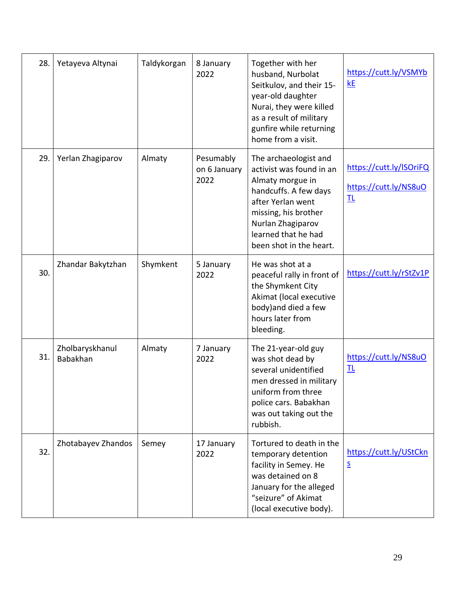| 28. | Yetayeva Altynai                   | Taldykorgan | 8 January<br>2022                 | Together with her<br>husband, Nurbolat<br>Seitkulov, and their 15-<br>year-old daughter<br>Nurai, they were killed<br>as a result of military<br>gunfire while returning<br>home from a visit.                     | https://cutt.ly/VSMYb<br>kE                           |
|-----|------------------------------------|-------------|-----------------------------------|--------------------------------------------------------------------------------------------------------------------------------------------------------------------------------------------------------------------|-------------------------------------------------------|
| 29. | Yerlan Zhagiparov                  | Almaty      | Pesumably<br>on 6 January<br>2022 | The archaeologist and<br>activist was found in an<br>Almaty morgue in<br>handcuffs. A few days<br>after Yerlan went<br>missing, his brother<br>Nurlan Zhagiparov<br>learned that he had<br>been shot in the heart. | https://cutt.ly/ISOriFQ<br>https://cutt.ly/NS8uO<br>卫 |
| 30. | Zhandar Bakytzhan                  | Shymkent    | 5 January<br>2022                 | He was shot at a<br>peaceful rally in front of<br>the Shymkent City<br>Akimat (local executive<br>body) and died a few<br>hours later from<br>bleeding.                                                            | https://cutt.ly/rStZv1P                               |
| 31. | Zholbaryskhanul<br><b>Babakhan</b> | Almaty      | 7 January<br>2022                 | The 21-year-old guy<br>was shot dead by<br>several unidentified<br>men dressed in military<br>uniform from three<br>police cars. Babakhan<br>was out taking out the<br>rubbish.                                    | https://cutt.ly/NS8uO<br>卫                            |
| 32. | Zhotabayev Zhandos                 | Semey       | 17 January<br>2022                | Tortured to death in the<br>temporary detention<br>facility in Semey. He<br>was detained on 8<br>January for the alleged<br>"seizure" of Akimat<br>(local executive body).                                         | https://cutt.ly/UStCkn<br>$\overline{\mathsf{S}}$     |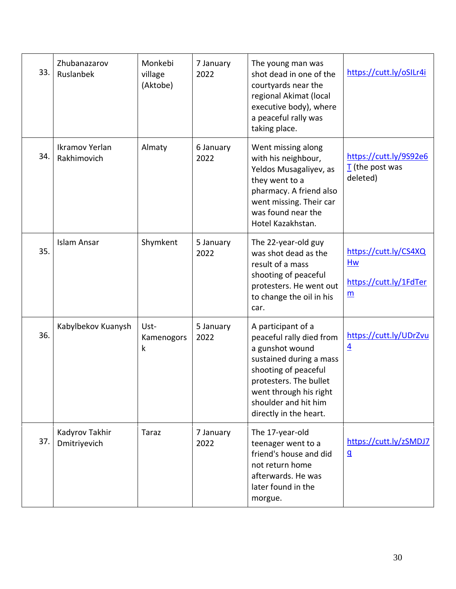| 33. | Zhubanazarov<br>Ruslanbek      | Monkebi<br>village<br>(Aktobe) | 7 January<br>2022 | The young man was<br>shot dead in one of the<br>courtyards near the<br>regional Akimat (local<br>executive body), where<br>a peaceful rally was<br>taking place.                                                           | https://cutt.ly/oSILr4i                                                           |
|-----|--------------------------------|--------------------------------|-------------------|----------------------------------------------------------------------------------------------------------------------------------------------------------------------------------------------------------------------------|-----------------------------------------------------------------------------------|
| 34. | Ikramov Yerlan<br>Rakhimovich  | Almaty                         | 6 January<br>2022 | Went missing along<br>with his neighbour,<br>Yeldos Musagaliyev, as<br>they went to a<br>pharmacy. A friend also<br>went missing. Their car<br>was found near the<br>Hotel Kazakhstan.                                     | https://cutt.ly/9S92e6<br>$\overline{I}$ (the post was<br>deleted)                |
| 35. | <b>Islam Ansar</b>             | Shymkent                       | 5 January<br>2022 | The 22-year-old guy<br>was shot dead as the<br>result of a mass<br>shooting of peaceful<br>protesters. He went out<br>to change the oil in his<br>car.                                                                     | https://cutt.ly/CS4XQ<br>Hw<br>https://cutt.ly/1FdTer<br>$\underline{\mathsf{m}}$ |
| 36. | Kabylbekov Kuanysh             | Ust-<br>Kamenogors<br>k        | 5 January<br>2022 | A participant of a<br>peaceful rally died from<br>a gunshot wound<br>sustained during a mass<br>shooting of peaceful<br>protesters. The bullet<br>went through his right<br>shoulder and hit him<br>directly in the heart. | https://cutt.ly/UDrZvu<br>$\overline{4}$                                          |
| 37. | Kadyrov Takhir<br>Dmitriyevich | <b>Taraz</b>                   | 7 January<br>2022 | The 17-year-old<br>teenager went to a<br>friend's house and did<br>not return home<br>afterwards. He was<br>later found in the<br>morgue.                                                                                  | https://cutt.ly/zSMDJ7<br>$\underline{\mathsf{q}}$                                |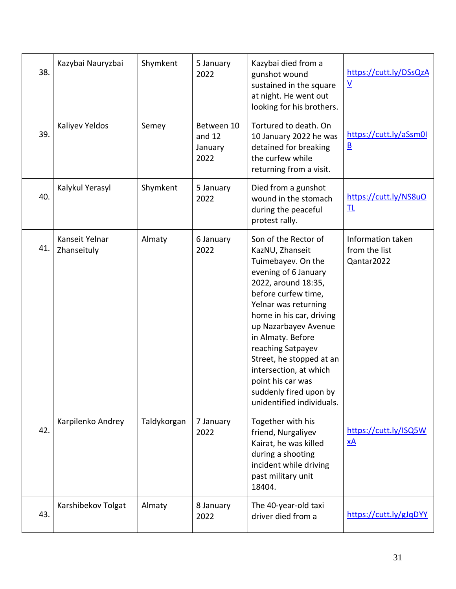| 38. | Kazybai Nauryzbai             | Shymkent    | 5 January<br>2022                       | Kazybai died from a<br>gunshot wound<br>sustained in the square<br>at night. He went out<br>looking for his brothers.                                                                                                                                                                                                                                                                       | https://cutt.ly/DSsQzA<br>$\underline{\mathsf{V}}$ |
|-----|-------------------------------|-------------|-----------------------------------------|---------------------------------------------------------------------------------------------------------------------------------------------------------------------------------------------------------------------------------------------------------------------------------------------------------------------------------------------------------------------------------------------|----------------------------------------------------|
| 39. | Kaliyev Yeldos                | Semey       | Between 10<br>and 12<br>January<br>2022 | Tortured to death. On<br>10 January 2022 he was<br>detained for breaking<br>the curfew while<br>returning from a visit.                                                                                                                                                                                                                                                                     | https://cutt.ly/aSsm0l<br>$\overline{\mathsf{B}}$  |
| 40. | Kalykul Yerasyl               | Shymkent    | 5 January<br>2022                       | Died from a gunshot<br>wound in the stomach<br>during the peaceful<br>protest rally.                                                                                                                                                                                                                                                                                                        | https://cutt.ly/NS8uO<br>卫                         |
| 41. | Kanseit Yelnar<br>Zhanseituly | Almaty      | 6 January<br>2022                       | Son of the Rector of<br>KazNU, Zhanseit<br>Tuimebayev. On the<br>evening of 6 January<br>2022, around 18:35,<br>before curfew time,<br>Yelnar was returning<br>home in his car, driving<br>up Nazarbayev Avenue<br>in Almaty. Before<br>reaching Satpayev<br>Street, he stopped at an<br>intersection, at which<br>point his car was<br>suddenly fired upon by<br>unidentified individuals. | Information taken<br>from the list<br>Qantar2022   |
| 42. | Karpilenko Andrey             | Taldykorgan | 7 January<br>2022                       | Together with his<br>friend, Nurgaliyev<br>Kairat, he was killed<br>during a shooting<br>incident while driving<br>past military unit<br>18404.                                                                                                                                                                                                                                             | https://cutt.ly/ISQ5W<br>$\underline{\mathsf{x}}$  |
| 43. | Karshibekov Tolgat            | Almaty      | 8 January<br>2022                       | The 40-year-old taxi<br>driver died from a                                                                                                                                                                                                                                                                                                                                                  | https://cutt.ly/gJqDYY                             |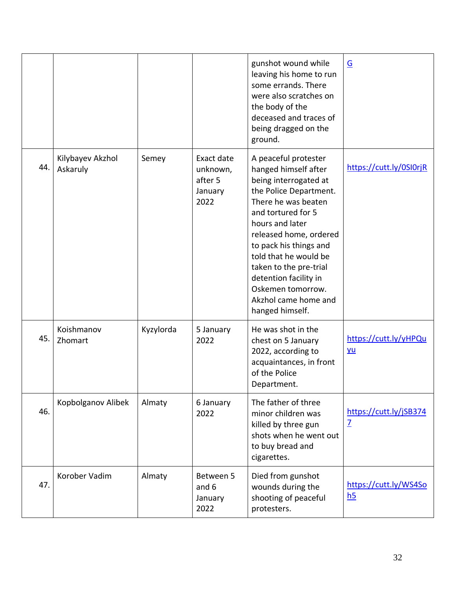|     |                              |           |                                                      | gunshot wound while<br>leaving his home to run<br>some errands. There<br>were also scratches on<br>the body of the<br>deceased and traces of<br>being dragged on the<br>ground.                                                                                                                                                                                 | $\underline{\mathsf{G}}$                 |
|-----|------------------------------|-----------|------------------------------------------------------|-----------------------------------------------------------------------------------------------------------------------------------------------------------------------------------------------------------------------------------------------------------------------------------------------------------------------------------------------------------------|------------------------------------------|
| 44. | Kilybayev Akzhol<br>Askaruly | Semey     | Exact date<br>unknown,<br>after 5<br>January<br>2022 | A peaceful protester<br>hanged himself after<br>being interrogated at<br>the Police Department.<br>There he was beaten<br>and tortured for 5<br>hours and later<br>released home, ordered<br>to pack his things and<br>told that he would be<br>taken to the pre-trial<br>detention facility in<br>Oskemen tomorrow.<br>Akzhol came home and<br>hanged himself. | https://cutt.ly/0SI0rjR                  |
| 45. | Koishmanov<br>Zhomart        | Kyzylorda | 5 January<br>2022                                    | He was shot in the<br>chest on 5 January<br>2022, according to<br>acquaintances, in front<br>of the Police<br>Department.                                                                                                                                                                                                                                       | https://cutt.ly/yHPQu<br>yu              |
| 46. | Kopbolganov Alibek           | Almaty    | 6 January<br>2022                                    | The father of three<br>minor children was<br>killed by three gun<br>shots when he went out<br>to buy bread and<br>cigarettes.                                                                                                                                                                                                                                   | https://cutt.ly/jSB374<br>$\overline{1}$ |
| 47. | Korober Vadim                | Almaty    | Between 5<br>and 6<br>January<br>2022                | Died from gunshot<br>wounds during the<br>shooting of peaceful<br>protesters.                                                                                                                                                                                                                                                                                   | https://cutt.ly/WS4So<br>h5              |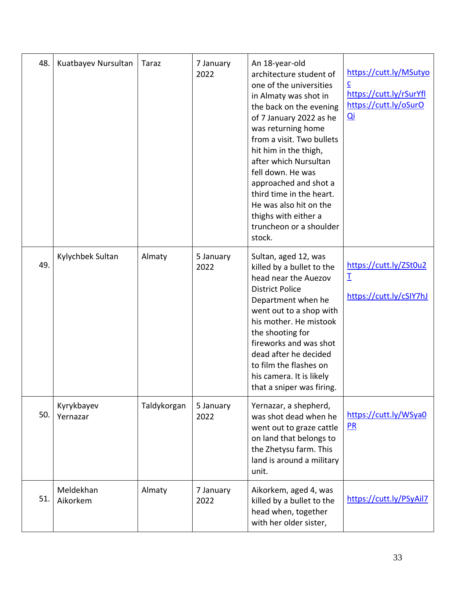| 48. | Kuatbayev Nursultan    | Taraz       | 7 January<br>2022 | An 18-year-old<br>architecture student of<br>one of the universities<br>in Almaty was shot in<br>the back on the evening<br>of 7 January 2022 as he<br>was returning home<br>from a visit. Two bullets<br>hit him in the thigh,<br>after which Nursultan<br>fell down. He was<br>approached and shot a<br>third time in the heart.<br>He was also hit on the<br>thighs with either a<br>truncheon or a shoulder<br>stock. | https://cutt.ly/MSutyo<br>c<br>https://cutt.ly/rSurYfl<br>https://cutt.ly/oSurO<br>$\overline{Q}$ i |
|-----|------------------------|-------------|-------------------|---------------------------------------------------------------------------------------------------------------------------------------------------------------------------------------------------------------------------------------------------------------------------------------------------------------------------------------------------------------------------------------------------------------------------|-----------------------------------------------------------------------------------------------------|
| 49. | Kylychbek Sultan       | Almaty      | 5 January<br>2022 | Sultan, aged 12, was<br>killed by a bullet to the<br>head near the Auezov<br><b>District Police</b><br>Department when he<br>went out to a shop with<br>his mother. He mistook<br>the shooting for<br>fireworks and was shot<br>dead after he decided<br>to film the flashes on<br>his camera. It is likely<br>that a sniper was firing.                                                                                  | https://cutt.ly/ZSt0u2<br>$\mathbf I$<br>https://cutt.ly/cSIY7hJ                                    |
| 50. | Kyrykbayev<br>Yernazar | Taldykorgan | 5 January<br>2022 | Yernazar, a shepherd,<br>was shot dead when he<br>went out to graze cattle<br>on land that belongs to<br>the Zhetysu farm. This<br>land is around a military<br>unit.                                                                                                                                                                                                                                                     | https://cutt.ly/WSya0<br>PR                                                                         |
| 51. | Meldekhan<br>Aikorkem  | Almaty      | 7 January<br>2022 | Aikorkem, aged 4, was<br>killed by a bullet to the<br>head when, together<br>with her older sister,                                                                                                                                                                                                                                                                                                                       | https://cutt.ly/PSyAil7                                                                             |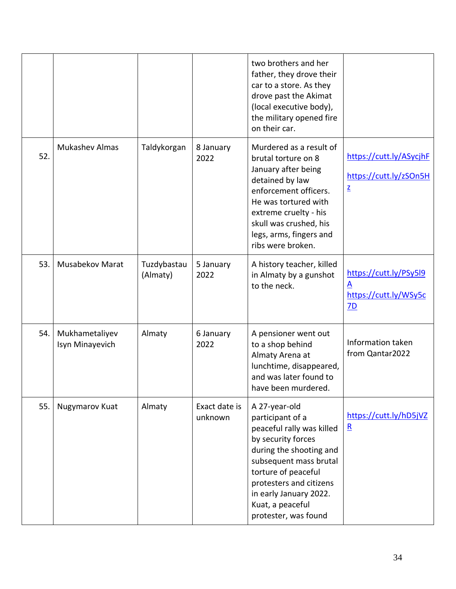|     |                                   |                         |                          | two brothers and her<br>father, they drove their<br>car to a store. As they<br>drove past the Akimat<br>(local executive body),<br>the military opened fire<br>on their car.                                                                                      |                                                                               |
|-----|-----------------------------------|-------------------------|--------------------------|-------------------------------------------------------------------------------------------------------------------------------------------------------------------------------------------------------------------------------------------------------------------|-------------------------------------------------------------------------------|
| 52. | <b>Mukashev Almas</b>             | Taldykorgan             | 8 January<br>2022        | Murdered as a result of<br>brutal torture on 8<br>January after being<br>detained by law<br>enforcement officers.<br>He was tortured with<br>extreme cruelty - his<br>skull was crushed, his<br>legs, arms, fingers and<br>ribs were broken.                      | https://cutt.ly/ASycjhF<br>https://cutt.ly/zSOn5H<br>$\underline{\mathsf{z}}$ |
| 53. | Musabekov Marat                   | Tuzdybastau<br>(Almaty) | 5 January<br>2022        | A history teacher, killed<br>in Almaty by a gunshot<br>to the neck.                                                                                                                                                                                               | https://cutt.ly/PSy5l9<br>A<br>https://cutt.ly/WSy5c<br>7D                    |
| 54. | Mukhametaliyev<br>Isyn Minayevich | Almaty                  | 6 January<br>2022        | A pensioner went out<br>to a shop behind<br>Almaty Arena at<br>lunchtime, disappeared,<br>and was later found to<br>have been murdered.                                                                                                                           | Information taken<br>from Qantar2022                                          |
| 55. | Nugymarov Kuat                    | Almaty                  | Exact date is<br>unknown | A 27-year-old<br>participant of a<br>peaceful rally was killed<br>by security forces<br>during the shooting and<br>subsequent mass brutal<br>torture of peaceful<br>protesters and citizens<br>in early January 2022.<br>Kuat, a peaceful<br>protester, was found | https://cutt.ly/hD5jVZ<br>$\mathbf{R}$                                        |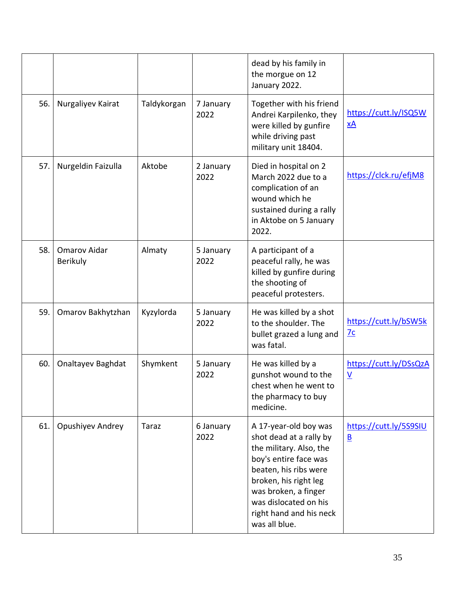|     |                          |             |                   | dead by his family in<br>the morgue on 12<br>January 2022.                                                                                                                                                                                          |                                                    |
|-----|--------------------------|-------------|-------------------|-----------------------------------------------------------------------------------------------------------------------------------------------------------------------------------------------------------------------------------------------------|----------------------------------------------------|
| 56. | Nurgaliyev Kairat        | Taldykorgan | 7 January<br>2022 | Together with his friend<br>Andrei Karpilenko, they<br>were killed by gunfire<br>while driving past<br>military unit 18404.                                                                                                                         | https://cutt.ly/ISQ5W<br><u>xA</u>                 |
| 57. | Nurgeldin Faizulla       | Aktobe      | 2 January<br>2022 | Died in hospital on 2<br>March 2022 due to a<br>complication of an<br>wound which he<br>sustained during a rally<br>in Aktobe on 5 January<br>2022.                                                                                                 | https://clck.ru/efjM8                              |
| 58. | Omarov Aidar<br>Berikuly | Almaty      | 5 January<br>2022 | A participant of a<br>peaceful rally, he was<br>killed by gunfire during<br>the shooting of<br>peaceful protesters.                                                                                                                                 |                                                    |
| 59. | Omarov Bakhytzhan        | Kyzylorda   | 5 January<br>2022 | He was killed by a shot<br>to the shoulder. The<br>bullet grazed a lung and<br>was fatal.                                                                                                                                                           | https://cutt.ly/bSW5k<br>7c                        |
| 60. | Onaltayev Baghdat        | Shymkent    | 5 January<br>2022 | He was killed by a<br>gunshot wound to the<br>chest when he went to<br>the pharmacy to buy<br>medicine.                                                                                                                                             | https://cutt.ly/DSsQzA<br>$\underline{\mathsf{v}}$ |
| 61. | Opushiyev Andrey         | Taraz       | 6 January<br>2022 | A 17-year-old boy was<br>shot dead at a rally by<br>the military. Also, the<br>boy's entire face was<br>beaten, his ribs were<br>broken, his right leg<br>was broken, a finger<br>was dislocated on his<br>right hand and his neck<br>was all blue. | https://cutt.ly/5S9SIU<br>$\underline{\mathsf{B}}$ |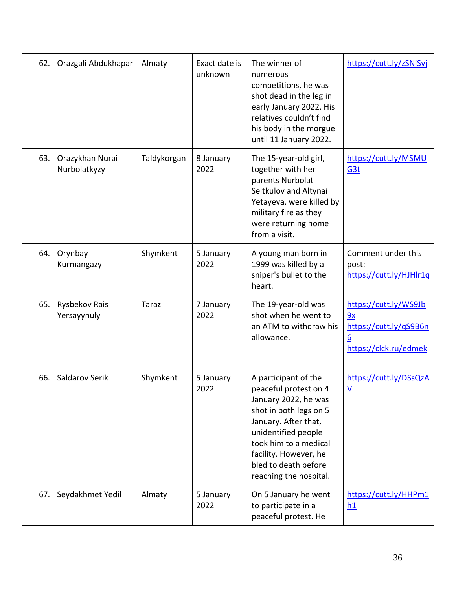| 62. | Orazgali Abdukhapar             | Almaty       | Exact date is<br>unknown | The winner of<br>numerous<br>competitions, he was<br>shot dead in the leg in<br>early January 2022. His<br>relatives couldn't find<br>his body in the morgue<br>until 11 January 2022.                                                             | https://cutt.ly/zSNiSyj                                                             |
|-----|---------------------------------|--------------|--------------------------|----------------------------------------------------------------------------------------------------------------------------------------------------------------------------------------------------------------------------------------------------|-------------------------------------------------------------------------------------|
| 63. | Orazykhan Nurai<br>Nurbolatkyzy | Taldykorgan  | 8 January<br>2022        | The 15-year-old girl,<br>together with her<br>parents Nurbolat<br>Seitkulov and Altynai<br>Yetayeva, were killed by<br>military fire as they<br>were returning home<br>from a visit.                                                               | https://cutt.ly/MSMU<br>G <sub>3t</sub>                                             |
| 64. | Orynbay<br>Kurmangazy           | Shymkent     | 5 January<br>2022        | A young man born in<br>1999 was killed by a<br>sniper's bullet to the<br>heart.                                                                                                                                                                    | Comment under this<br>post:<br>https://cutt.ly/HJHlr1q                              |
| 65. | Rysbekov Rais<br>Yersayynuly    | <b>Taraz</b> | 7 January<br>2022        | The 19-year-old was<br>shot when he went to<br>an ATM to withdraw his<br>allowance.                                                                                                                                                                | https://cutt.ly/WS9Jb<br>9x<br>https://cutt.ly/qS9B6n<br>6<br>https://clck.ru/edmek |
| 66. | Saldarov Serik                  | Shymkent     | 5 January<br>2022        | A participant of the<br>peaceful protest on 4<br>January 2022, he was<br>shot in both legs on 5<br>January. After that,<br>unidentified people<br>took him to a medical<br>facility. However, he<br>bled to death before<br>reaching the hospital. | https://cutt.ly/DSsQzA<br>$\underline{V}$                                           |
| 67. | Seydakhmet Yedil                | Almaty       | 5 January<br>2022        | On 5 January he went<br>to participate in a<br>peaceful protest. He                                                                                                                                                                                | https://cutt.ly/HHPm1<br>h1                                                         |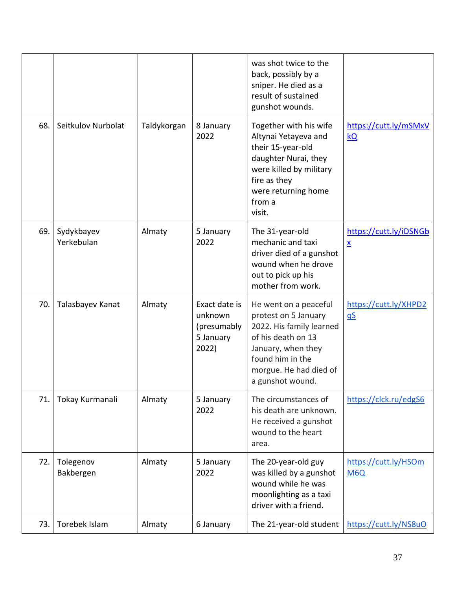|     |                          |             |                                                               | was shot twice to the<br>back, possibly by a<br>sniper. He died as a<br>result of sustained<br>gunshot wounds.                                                                          |                                           |
|-----|--------------------------|-------------|---------------------------------------------------------------|-----------------------------------------------------------------------------------------------------------------------------------------------------------------------------------------|-------------------------------------------|
| 68. | Seitkulov Nurbolat       | Taldykorgan | 8 January<br>2022                                             | Together with his wife<br>Altynai Yetayeva and<br>their 15-year-old<br>daughter Nurai, they<br>were killed by military<br>fire as they<br>were returning home<br>from a<br>visit.       | https://cutt.ly/mSMxV<br>kQ               |
| 69. | Sydykbayev<br>Yerkebulan | Almaty      | 5 January<br>2022                                             | The 31-year-old<br>mechanic and taxi<br>driver died of a gunshot<br>wound when he drove<br>out to pick up his<br>mother from work.                                                      | https://cutt.ly/iDSNGb<br>$\underline{x}$ |
| 70. | Talasbayev Kanat         | Almaty      | Exact date is<br>unknown<br>(presumably<br>5 January<br>2022) | He went on a peaceful<br>protest on 5 January<br>2022. His family learned<br>of his death on 13<br>January, when they<br>found him in the<br>morgue. He had died of<br>a gunshot wound. | https://cutt.ly/XHPD2<br>$\underline{dS}$ |
| 71. | Tokay Kurmanali          | Almaty      | 5 January<br>2022                                             | The circumstances of<br>his death are unknown.<br>He received a gunshot<br>wound to the heart<br>area.                                                                                  | https://clck.ru/edgS6                     |
| 72. | Tolegenov<br>Bakbergen   | Almaty      | 5 January<br>2022                                             | The 20-year-old guy<br>was killed by a gunshot<br>wound while he was<br>moonlighting as a taxi<br>driver with a friend.                                                                 | https://cutt.ly/HSOm<br>M <sub>6</sub> Q  |
| 73. | Torebek Islam            | Almaty      | 6 January                                                     | The 21-year-old student                                                                                                                                                                 | https://cutt.ly/NS8uO                     |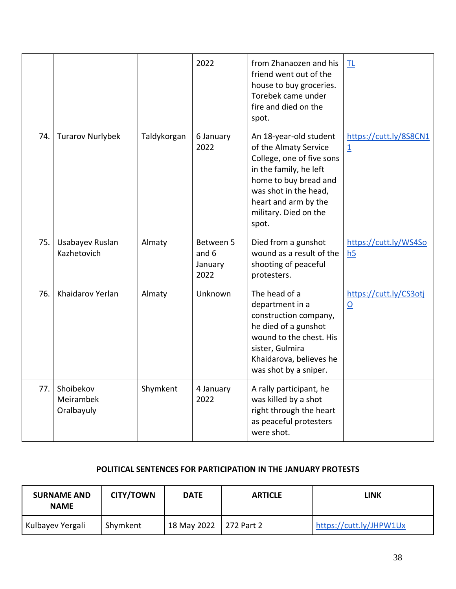|     |                                      |             | 2022                                  | from Zhanaozen and his<br>friend went out of the<br>house to buy groceries.<br>Torebek came under<br>fire and died on the<br>spot.                                                                                 | TL                                        |
|-----|--------------------------------------|-------------|---------------------------------------|--------------------------------------------------------------------------------------------------------------------------------------------------------------------------------------------------------------------|-------------------------------------------|
| 74. | <b>Turarov Nurlybek</b>              | Taldykorgan | 6 January<br>2022                     | An 18-year-old student<br>of the Almaty Service<br>College, one of five sons<br>in the family, he left<br>home to buy bread and<br>was shot in the head,<br>heart and arm by the<br>military. Died on the<br>spot. | https://cutt.ly/8S8CN1<br>$\overline{1}$  |
| 75. | Usabayev Ruslan<br>Kazhetovich       | Almaty      | Between 5<br>and 6<br>January<br>2022 | Died from a gunshot<br>wound as a result of the<br>shooting of peaceful<br>protesters.                                                                                                                             | https://cutt.ly/WS4So<br>h <sub>5</sub>   |
| 76. | Khaidarov Yerlan                     | Almaty      | Unknown                               | The head of a<br>department in a<br>construction company,<br>he died of a gunshot<br>wound to the chest. His<br>sister, Gulmira<br>Khaidarova, believes he<br>was shot by a sniper.                                | https://cutt.ly/CS3otj<br>$\underline{0}$ |
| 77. | Shoibekov<br>Meirambek<br>Oralbayuly | Shymkent    | 4 January<br>2022                     | A rally participant, he<br>was killed by a shot<br>right through the heart<br>as peaceful protesters<br>were shot.                                                                                                 |                                           |

#### **POLITICAL SENTENCES FOR PARTICIPATION IN THE JANUARY PROTESTS**

| <b>SURNAME AND</b><br><b>NAME</b> | <b>CITY/TOWN</b> | <b>DATE</b>            | <b>ARTICLE</b> | LINK                    |
|-----------------------------------|------------------|------------------------|----------------|-------------------------|
| Kulbayev Yergali                  | Shymkent         | 18 May 2022 272 Part 2 |                | https://cutt.ly/JHPW1Ux |